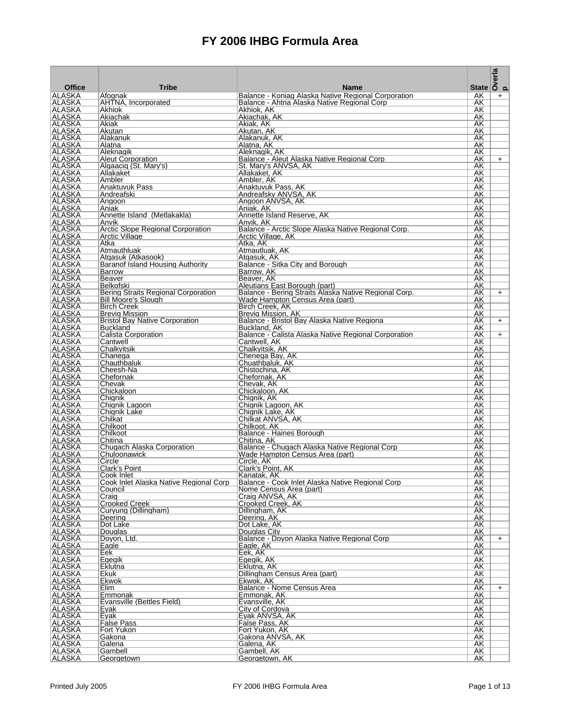|                                |                                                                |                                                                                                    | State $\overline{\smash{\big)}\,^{\text{max}}_{\text{out}}}$ |     |
|--------------------------------|----------------------------------------------------------------|----------------------------------------------------------------------------------------------------|--------------------------------------------------------------|-----|
| <b>Office</b>                  | <b>Tribe</b>                                                   | <b>Name</b>                                                                                        |                                                              |     |
| <b>ALASKA</b><br>ALASKA        | Afognak<br>AHTNA, Incorporated                                 | Balance - Koniag Alaska Native Regional Corporation<br>Balance - Ahtna Alaska Native Regional Corp | AK.<br>AK                                                    | $+$ |
| <b>ALASKA</b>                  | Akhiok                                                         | Akhiok, AK                                                                                         | AK                                                           |     |
| ALASKA<br><b>ALASKA</b>        | Akiachak<br>Akiak                                              | Akiachak, AK<br>Akiak, AK                                                                          | AK<br>AK                                                     |     |
| ALASKA                         | Akutan                                                         | Akutan, AK                                                                                         | AK.                                                          |     |
| ALASKA<br> ALASKA              | Alakanuk<br>Alatna                                             | Alakanuk, AK<br>Alatna. AK                                                                         | AK<br>AK                                                     |     |
| ALASKA                         | Aleknagik                                                      | Aleknagik, AK                                                                                      | AK                                                           |     |
| <b>ALASKA</b><br>ALASKA        | <b>Aleut Corporation</b><br>Algaaciq (St. Mary's)              | Balance - Aleut Alaska Native Regional Corp<br>St. Mary's ANVSA, AK                                | AK<br>AK                                                     | $+$ |
| <b>ALASKA</b>                  | Allakaket                                                      | Allakaket, AK                                                                                      | AK                                                           |     |
| ALASKA<br>ALASKA               | Ambler<br>Anaktuvuk Pass                                       | Ambler, AK<br>Anaktuvuk Pass, AK                                                                   | AK<br>AK                                                     |     |
| ALASKA                         | Andreafski                                                     | Andreafsky ANVSA, AK                                                                               | AK                                                           |     |
| ALASKA<br>ALASKA               | Angoon<br> Aniak                                               | Angoon ANVSA, AK<br>Aniak, AK                                                                      | AK<br>AK.                                                    |     |
| ALASKA                         | Annette Island (Metlakakla)                                    | Annette Island Reserve, AK                                                                         | AK                                                           |     |
| <b>ALASKA</b><br> ALASKA       | Anvik<br>Arctic Slope Regional Corporation                     | Anvik. AK<br>Balance - Arctic Slope Alaska Native Regional Corp.                                   | AK<br>AK                                                     |     |
| <b>ALASKA</b>                  | Arctic Village                                                 | Arctic Village, AK                                                                                 | AK                                                           |     |
| ALASKA<br><b>ALASKA</b>        | Atka<br>Atmauthluak                                            | Atka, AK<br>Atmautluak, AK                                                                         | AK<br>AK                                                     |     |
| ALASKA                         | Atgasuk (Atkasook)                                             | Atgasuk, AK                                                                                        | AK                                                           |     |
| ALASKA<br>ALASKA               | Baranof Island Housing Authority<br><b>Barrow</b>              | Balance - Sitka City and Borough<br>Barrow, AK                                                     | AK.<br>AK.                                                   |     |
| ALASKA                         | Beaver                                                         | Beaver, AK                                                                                         | AK                                                           |     |
| <b>ALASKA</b><br> ALASKA       | Belkofski<br>Bering Straits Regional Corporation               | Aleutians East Borough (part)<br>Balance - Bering Straits Alaska Native Regional Corp.             | AK<br>AK                                                     |     |
| <b>ALASKA</b>                  | <b>Bill Moore's Slough</b>                                     | Wade Hampton Census Area (part)                                                                    | AK                                                           | $+$ |
| ALASKA                         | <b>Birch Creek</b>                                             | Birch Creek, AK                                                                                    | AK                                                           |     |
| ALASKA<br> ALASKA              | <b>Brevig Mission</b><br><b>Bristol Bay Native Corporation</b> | Brevig Mission, AK<br>Balance - Bristol Bay Alaska Native Regiona                                  | AK<br>AK                                                     | $+$ |
| ALASKA                         | <b>Buckland</b>                                                | Buckland, AK                                                                                       | AK                                                           |     |
| <b>ALASKA</b><br>ALASKA        | Calista Corporation<br>Cantwell                                | Balance - Calista Alaska Native Regional Corporation<br>Cantwell, AK                               | AK<br>AK                                                     | $+$ |
| <b>ALASKA</b>                  | Chalkyitsik                                                    | Chalkyitsik, AK                                                                                    | AK                                                           |     |
| ALASKA<br><b>ALASKA</b>        | Chanega<br>Chauthbaluk                                         | Chenega Bay, AK<br>Chuathbaluk, AK                                                                 | AK<br>AK                                                     |     |
| ALASKA                         | Cheesh-Na                                                      | Chistochina, AK                                                                                    | AK                                                           |     |
| ALASKA<br>ALASKA               | Chefornak<br>Chevak                                            | Chefornak, AK<br>Chevak, AK                                                                        | AK<br>AK.                                                    |     |
| ALASKA                         | Chickaloon                                                     | Chickaloon, AK                                                                                     | AK                                                           |     |
| <b>ALASKA</b><br> ALASKA       | Chignik<br>Chignik Lagoon                                      | Chignik, AK<br>Chignik Lagoon, AK                                                                  | AK<br>AK                                                     |     |
| <b>ALASKA</b>                  | Chignik Lake                                                   | Chignik Lake, AK                                                                                   | AK                                                           |     |
| ∣ALASKA<br><b>ALASKA</b>       | Chilkat<br>Chilkoot                                            | Chilkat ANVSA, AK<br>Chilkoot, AK                                                                  | AK<br>AK                                                     |     |
| ALASKA                         | Chilkoot                                                       | Balance - Haines Borough                                                                           | AK                                                           |     |
| <b>ALASKA</b><br><b>ALASKA</b> | Chitina<br>Chugach Alaska Corporation                          | Chitina. AK<br>Balance - Chugach Alaska Native Regional Corp                                       | AK.<br>AK.                                                   |     |
| <b>ALASKA</b>                  | Chuloonawick                                                   | Wade Hampton Census Area (part)                                                                    | AK                                                           |     |
| ALASKA                         | Circle                                                         | Circle, AK                                                                                         | AK                                                           |     |
| ∣ALASKA<br>∣ALASKA             | Clark's Point<br>Cook Inlet                                    | Clark's Point, AK<br>Kanatak, AK                                                                   | AK<br>AΚ                                                     |     |
| <b>ALASKA</b>                  | Cook Inlet Alaska Native Regional Corp                         | Balance - Cook Inlet Alaska Native Regional Corp                                                   | AK                                                           |     |
| ALASKA<br><b>ALASKA</b>        | Council<br>Craig                                               | Nome Census Area (part)<br>Craig ANVSA, AK                                                         | AK<br>AK                                                     |     |
| <b>ALASKA</b>                  | Crooked Creek                                                  | Crooked Creek, AK                                                                                  | AK                                                           |     |
| <b>ALASKA</b><br>ALASKA        | Curyung (Dillingham)<br>Deering                                | Dillingham, AK<br>Deering, AK                                                                      | AΚ<br>AK.                                                    |     |
| <b>ALASKA</b>                  | Dot Lake                                                       | Dot Lake, AK                                                                                       | AK                                                           |     |
| ALASKA<br>ALASKA               | Douglas<br>Doyon, Ltd.                                         | Douglas City<br>Balance - Doyon Alaska Native Regional Corp                                        | AK<br>AK                                                     | $+$ |
| ALASKA                         | Eagle                                                          | Eagle, AK                                                                                          | AK                                                           |     |
| ALASKA<br><b>ALASKA</b>        | Eek<br>Egegik                                                  | Eek, AK<br>Egegik, AK                                                                              | AK<br>AK                                                     |     |
| ALASKA                         | Eklutna                                                        | Eklutna, AK                                                                                        | <b>AK</b>                                                    |     |
| <b>ALASKA</b><br>ALASKA        | Ekuk<br>Ekwok                                                  | Dillingham Census Area (part)<br>Ekwok, AK                                                         | AK<br>AK                                                     |     |
| <b>ALASKA</b>                  | Elim                                                           | Balance - Nome Census Area                                                                         | AK                                                           | $+$ |
| <b>ALASKA</b><br><b>ALASKA</b> | Emmonak<br>Evansville (Bettles Field)                          | Emmonak, AK<br>Evansville, AK                                                                      | AK<br>AK                                                     |     |
| ALASKA                         | Eyak                                                           | City of Cordova                                                                                    | AK                                                           |     |
| ALASKA                         | Evak                                                           | Eyak ANVSA, AK                                                                                     | AK                                                           |     |
| ALASKA<br>ALASKA               | <b>False Pass</b><br>Fort Yukon                                | False Pass, AK<br>Fort Yukon, AK                                                                   | AK<br>AK                                                     |     |
| <b>ALASKA</b>                  | Gakona                                                         | Gakona ANVSA, AK                                                                                   | <b>AK</b>                                                    |     |
| ALASKA<br><b>ALASKA</b>        | Galena<br>Gambell                                              | Galena, AK<br>Gambell, AK                                                                          | AK<br>AK                                                     |     |
| ALASKA                         | Georgetown                                                     | Georgetown, AK                                                                                     | AΚ                                                           |     |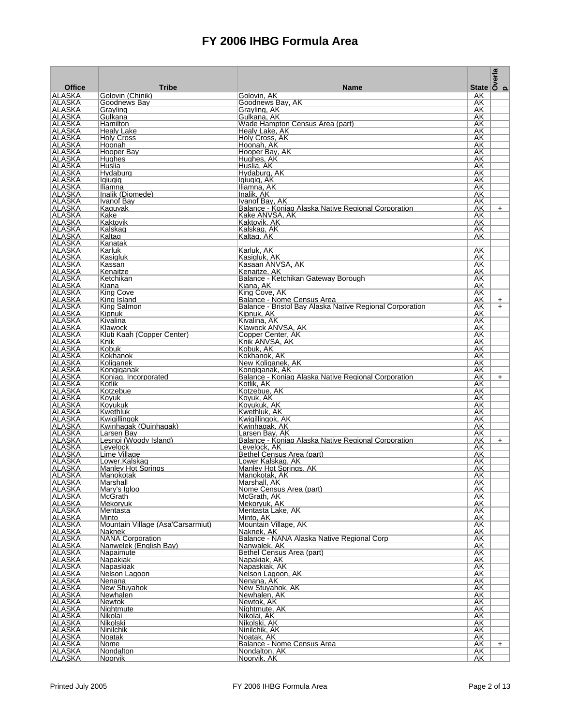| <b>Office</b>                  | <b>Tribe</b>                                | <b>Name</b>                                                            |                 | State $\overline{\begin{array}{c} a \\ \overline{b} \\ 0 \\ \end{array}}$ |
|--------------------------------|---------------------------------------------|------------------------------------------------------------------------|-----------------|---------------------------------------------------------------------------|
| ALASKA                         | Golovin (Chinik)                            | Golovin, AK                                                            | AK              |                                                                           |
| ALASKA                         | Goodnews Bay                                | Goodnews Bay, AK                                                       | AK.             |                                                                           |
| ALASKA                         | Grayling                                    | Grayling, AK                                                           | AK              |                                                                           |
| <b>ALASKA</b><br>ALASKA        | Gulkana<br>Hamilton                         | Gulkana. AK<br>Wade Hampton Census Area (part)                         | AK<br>AK        |                                                                           |
| <b>ALASKA</b>                  | Healv Lake                                  | Healy Lake, AK                                                         | AK              |                                                                           |
| ALASKA                         | <b>Holy Cross</b>                           | Holy Cross, AK                                                         | AK.             |                                                                           |
| <b>ALASKA</b>                  | Hoonah                                      | Hoonah, AK                                                             | AΚ              |                                                                           |
| ALASKA<br><b>ALASKA</b>        | Hooper Bay<br>Hughes                        | Hooper Bay, AK<br>Hughes, AK                                           | AK<br>AK        |                                                                           |
| ALASKA                         | Huslia                                      | Huslia, AK                                                             | AK              |                                                                           |
| ALASKA                         | Hydaburg                                    | Hydaburg, AK                                                           | AK              |                                                                           |
| ALASKA                         | lgiugig                                     | Igiugig, AK                                                            | AK              |                                                                           |
| ALASKA<br>ALASKA               | Iliamna<br>Inalik (Diomede)                 | Iliamna, AK<br>Inalik, AK                                              | AK<br>AK.       |                                                                           |
| ALASKA                         | Ivanof Bay                                  | Ivanof Bav. AK                                                         | AK              |                                                                           |
| <b>ALASKA</b>                  | Kaguyak                                     | Balance - Koniag Alaska Native Regional Corporation                    | AK              | $+$                                                                       |
| ALASKA                         | Kake                                        | Kake ANVSA, AK                                                         | AK              |                                                                           |
| <b>ALASKA</b><br>ALASKA        | Kaktovik<br>Kalskag                         | Kaktovik, AK<br>Kalskag, AK                                            | AK<br>AK        |                                                                           |
| <b>ALASKA</b>                  | Kaltag                                      | Kaltag, AK                                                             | AK              |                                                                           |
| ALASKA                         | Kanatak                                     |                                                                        |                 |                                                                           |
| ALASKA                         | Karluk                                      | Karluk, AK                                                             | AK              |                                                                           |
| <b>ALASKA</b>                  | Kasigluk                                    | Kasigluk, AK                                                           | AK              |                                                                           |
| ALASKA<br><b>ALASKA</b>        | Kassan<br>Kenaitze                          | Kasaan ANVSA, AK<br>Kenaitze, AK                                       | AK<br>AK        |                                                                           |
| ALASKA                         | Ketchikan                                   | Balance - Ketchikan Gateway Borough                                    | AK              |                                                                           |
| <b>ALASKA</b>                  | Kiana                                       | Kiana, AK                                                              | AK              |                                                                           |
| <b>ALASKA</b>                  | King Cove                                   | King Cove, AK                                                          | AK              |                                                                           |
| ALASKA                         | King Island                                 | Balance - Nome Census Area                                             | AK<br>AK        | $+$                                                                       |
| <b>ALASKA</b><br>ALASKA        | King Salmon<br>Kipnuk                       | Balance - Bristol Bay Alaska Native Regional Corporation<br>Kipnuk, AK | AK              | $+$                                                                       |
| <b>ALASKA</b>                  | Kivalina                                    | Kivalina, AK                                                           | AΚ              |                                                                           |
| ALASKA                         | Klawock                                     | Klawock ANVSA, AK                                                      | AK              |                                                                           |
| <b>ALASKA</b>                  | Kluti Kaah (Copper Center)                  | Copper Center, AK                                                      | AK              |                                                                           |
| ∣ALASKA<br>ALASKA              | Knik<br>Kobuk                               | Knik ANVSA, AK<br>Kobuk, AK                                            | AK<br>AΚ        |                                                                           |
| ALASKA                         | Kokhanok                                    | Kokhanok, AK                                                           | AK              |                                                                           |
| ALASKA                         | Koliganek                                   | New Koliganek, AK                                                      | AK.             |                                                                           |
| ALASKA                         | Kongiganak                                  | Kongiganak, AK                                                         | AK              |                                                                           |
| ALASKA<br><b>ALASKA</b>        | Koniag, Incorporated                        | Balance - Koniag Alaska Native Regional Corporation<br>Kotlik, AK      | AK<br>AK        | $+$                                                                       |
| ALASKA                         | Kotlik<br>Kotzebue                          | Kotzebue, AK                                                           | AK              |                                                                           |
| <b>ALASKA</b>                  | Koyuk                                       | Koyuk, AK                                                              | AK              |                                                                           |
| ALASKA                         | Koyukuk                                     | Koyukuk, AK                                                            | AK              |                                                                           |
| <b>ALASKA</b>                  | Kwethluk                                    | Kwethluk, AK                                                           | AK              |                                                                           |
| ALASKA<br>ALASKA               | Kwigillingok<br>Kwinhagak (Quinhagak)       | Kwigillingok, AK<br>Kwinhagak, AK                                      | AK<br>AK        |                                                                           |
| <b>ALASKA</b>                  | Larsen Bay                                  | Larsen Bay, AK                                                         | AK              |                                                                           |
| <b>ALASKA</b>                  | Lesnoi (Woody Island)                       | Balance - Koniag Alaska Native Regional Corporation                    | AK              | $+$                                                                       |
| <b>ALASKA</b>                  | Levelock                                    | Levelock, AK<br>Bethel Census Area (part)                              | AK              |                                                                           |
| ALASKA<br>ALASKA               | Lime Village<br>Lower.Kalskag               | Lower Kalskag, AK                                                      | AK<br>AK        |                                                                           |
| ALASKA                         | <b>Manley Hot Springs</b>                   | Manley Hot Springs, AK                                                 | AK              |                                                                           |
| ∣ALASKA                        | ∣Manokotak                                  | Manokotak. AK                                                          | AΚ              |                                                                           |
| <b>ALASKA</b>                  | Marshall                                    | Marshall, AK                                                           | AK              |                                                                           |
| ALASKA<br><b>ALASKA</b>        | Mary's Igloo<br><b>McGrath</b>              | Nome Census Area (part)<br>McGrath, AK                                 | AK<br>AK        |                                                                           |
| ALASKA                         | Mekoryuk                                    | Mekoryuk, AK                                                           | AK              |                                                                           |
| <b>ALASKA</b>                  | Mentasta                                    | Mentasta Lake, AK                                                      | AK              |                                                                           |
| ALASKA<br><b>ALASKA</b>        | Minto                                       | Minto, AK                                                              | AK              |                                                                           |
| ALASKA                         | Mountain Village (Asa'Carsarmiut)<br>Naknek | Mountain Village, AK<br>Naknek, AK                                     | AK<br>AK        |                                                                           |
| ALASKA                         | <b>NANA Corporation</b>                     | Balance - NANA Alaska Native Regional Corp                             | AK              |                                                                           |
| ALASKA                         | Nanwelek (English Bay)                      | Nanwalek, AK                                                           | AK              |                                                                           |
| ALASKA                         | Napaimute                                   | Bethel Census Area (part)                                              | AK              |                                                                           |
| <b>ALASKA</b><br><b>ALASKA</b> | Napakiak<br>Napaskiak                       | Napakiak, AK<br>Napaskiak, AK                                          | <b>AK</b><br>AK |                                                                           |
| <b>ALASKA</b>                  | Nelson Lagoon                               | Nelson Lagoon, AK                                                      | AK              |                                                                           |
| ALASKA                         | Nenana                                      | Nenana, AK                                                             | AK              |                                                                           |
| ALASKA                         | New Stuyahok                                | New Stuvahok, AK                                                       | AK              |                                                                           |
| ALASKA<br>ALASKA               | Newhalen<br><b>Newtok</b>                   | Newhalen, AK<br>Newtok, AK                                             | AK<br>AK        |                                                                           |
| <b>ALASKA</b>                  | Nightmute                                   | Nightmute, AK                                                          | AK              |                                                                           |
| ALASKA                         | Nikolai                                     | Nikolai, AK                                                            | AK              |                                                                           |
| <b>ALASKA</b>                  | Nikolski                                    | Nikolski, AK                                                           | AK              |                                                                           |
| ALASKA<br><b>ALASKA</b>        | Ninilchik                                   | Ninilchik, AK                                                          | AK<br>AK        |                                                                           |
| ALASKA                         | Noatak<br>Nome                              | Noatak, AK<br>Balance - Nome Census Area                               | AK              | $+$                                                                       |
| <b>ALASKA</b>                  | Nondalton                                   | Nondalton, AK                                                          | AK              |                                                                           |
| <b>ALASKA</b>                  | Noorvik                                     | Noorvik, AK                                                            | AK              |                                                                           |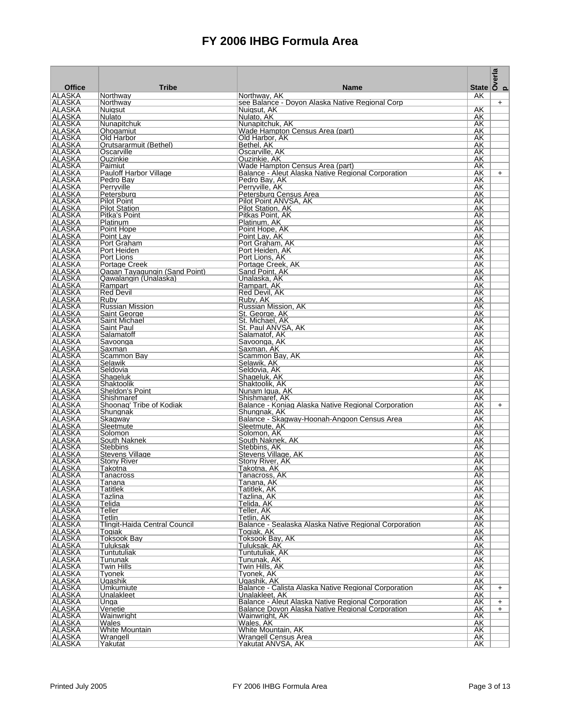|                                |                                                        |                                                                       | State $\overline{\smash{\big)}\,^{\text{max}}_{\text{out}}}$ |     |
|--------------------------------|--------------------------------------------------------|-----------------------------------------------------------------------|--------------------------------------------------------------|-----|
| <b>Office</b><br><b>ALASKA</b> | <b>Tribe</b><br>Northway                               | <b>Name</b><br>Northway, AK                                           | AK                                                           |     |
| ALASKA                         | Northway                                               | see Balance - Doyon Alaska Native Regional Corp                       |                                                              | $+$ |
| <b>ALASKA</b>                  | Nuigsut                                                | Nuigsut, AK                                                           | AK                                                           |     |
| ALASKA<br><b>ALASKA</b>        | Nulato<br>Nunapitchuk                                  | Nulato, AK<br>Nunapitchuk, AK                                         | AK.<br>AK                                                    |     |
| <b>ALASKA</b>                  | Ohogamiut                                              | Wade Hampton Census Area (part)                                       | AK                                                           |     |
| ALASKA                         | Old Harbor                                             | Old Harbor, AK                                                        | AK                                                           |     |
| <b>ALASKA</b>                  | Orutsararmuit (Bethel)                                 | Bethel, AK                                                            | AΚ                                                           |     |
| <b>ALASKA</b><br><b>ALASKA</b> | Oscarville<br>Ouzinkie                                 | Oscarville, AK<br>Ouzinkie, AK                                        | AK<br>AK                                                     |     |
| ALASKA                         | Paimiut                                                | Wade Hampton Census Area (part)                                       | AK                                                           |     |
| ALASKA                         | <b>Pauloff Harbor Village</b>                          | Balance - Aleut Alaska Native Regional Corporation                    | AK                                                           | $+$ |
| ALASKA<br><b>ALASKA</b>        | Pedro Bay<br>Perrvville                                | Pedro Bay, AK<br>Perryville, AK                                       | AK<br>AK                                                     |     |
| <b>ALASKA</b>                  | Petersburg                                             | Petersburg Census Area                                                | AK                                                           |     |
| ALASKA                         | <b>Pilot Point</b>                                     | Pilot Point ANVSA, AK                                                 | AK                                                           |     |
| <b>ALASKA</b><br>ALASKA        | <b>Pilot Station</b><br>Pitka's Point                  | Pilot Station, AK<br>Pitkas Point, AK                                 | AK<br>AK                                                     |     |
| <b>ALASKA</b>                  | Platinum                                               | Platinum, AK                                                          | AK                                                           |     |
| ALASKA                         | Point Hope                                             | Point Hope, AK                                                        | AK                                                           |     |
| <b>ALASKA</b>                  | Point Lay                                              | Point Lay, AK                                                         | AK                                                           |     |
| ALASKA<br>ALASKA               | Port Graham<br>Port Heiden                             | Port Graham, AK<br>Port Heiden, AK                                    | AK<br>AK                                                     |     |
| <b>ALASKA</b>                  | Port Lions                                             | Port Lions, AK                                                        | AK                                                           |     |
| <b>ALASKA</b>                  | Portage Creek                                          | Portage Creek, AK                                                     | AK                                                           |     |
| <b>ALASKA</b><br><b>ALASKA</b> | Qagan Tayagungin (Sand Point)<br>Qawalangin (Unalaska) | Sand Point, AK<br>Unalaska, AK                                        | AK<br>AK                                                     |     |
| <b>ALASKA</b>                  | Rampart                                                | Rampart, AK                                                           | AK                                                           |     |
| ALASKA                         | <b>Red Devil</b>                                       | Red Devil, AK                                                         | AK                                                           |     |
| <b>ALASKA</b>                  | Ruby                                                   | Ruby, AK                                                              | AK                                                           |     |
| <b>ALASKA</b><br>ALASKA        | Russian Mission<br>Saint George                        | Russian Mission, AK<br>St. George, AK                                 | AK<br>AK                                                     |     |
| <b>ALASKA</b>                  | Saint Michael                                          | St. Michael, AK                                                       | AΚ                                                           |     |
| <b>ALASKA</b>                  | Saint Paul                                             | St. Paul ANVSA, AK                                                    | AK                                                           |     |
| <b>ALASKA</b><br>ALASKA        | Salamatoff<br>Savoonga                                 | Salamatof, AK<br>Savoonga, AK                                         | AK<br>AK                                                     |     |
| <b>ALASKA</b>                  | Saxman                                                 | Saxman, AK                                                            | AK                                                           |     |
| ALASKA                         | Scammon Bay                                            | Scammon Bay, AK                                                       | AK                                                           |     |
| ALASKA<br><b>ALASKA</b>        | Selawik<br>Seldovia                                    | Selawik, AK<br>Seldovia, AK                                           | AK<br>AK                                                     |     |
| ALASKA                         | Shageluk                                               | Shageluk, AK                                                          | AK                                                           |     |
| <b>ALASKA</b>                  | Shaktoolik                                             | Shaktoolik, AK                                                        | AK                                                           |     |
| ALASKA                         | Sheldon's Point                                        | Nunam Igua, AK                                                        | AK                                                           |     |
| <b>ALASKA</b><br>ALASKA        | Shishmaref<br>Shoonag' Tribe of Kodiak                 | Shishmaref, AK<br>Balance - Koniag Alaska Native Regional Corporation | AK<br>AK                                                     | $+$ |
| <b>ALASKA</b>                  | Shungnak                                               | Shungnak, AK                                                          | AK                                                           |     |
| ALASKA                         | Skagway                                                | Balance - Skagway-Hoonah-Angoon Census Area                           | AK                                                           |     |
| ALASKA<br>ALASKA               | Sleetmute<br>Solomon                                   | Sleetmute, AK<br>Solomon, AK                                          | AK<br>AK                                                     |     |
| <b>ALASKA</b>                  | South Naknek                                           | South Naknek, AK                                                      | AK                                                           |     |
| <b>ALASKA</b>                  | <b>Stebbins</b>                                        | Stebbins, AK                                                          | AK                                                           |     |
| <b>ALASKA</b><br>ALASKA        | Stevens Village<br><b>Stony River</b>                  | Stevens Village, AK<br>Stony River, AK                                | AK<br>AK                                                     |     |
| ALASKA                         | Takotna                                                | Takotna, AK                                                           | AΚ                                                           |     |
| ∣ALASKA                        | Tanacross                                              | Tanacross. AK                                                         | AΚ                                                           |     |
| <b>ALASKA</b><br>ALASKA        | Tanana<br>Tatitlek                                     | Tanana, AK<br>Tatitlek, AK                                            | AK<br>AK                                                     |     |
| <b>ALASKA</b>                  | Tazlina                                                | Tazlina, AK                                                           | AK                                                           |     |
| <b>ALASKA</b>                  | Telida                                                 | Telida, AK                                                            | AK                                                           |     |
| <b>ALASKA</b>                  | Teller                                                 | Teller, AK                                                            | AK                                                           |     |
| ALASKA<br><b>ALASKA</b>        | Tetlin<br>Tlingit-Haida Central Council                | Tetlin, AK<br>Balance - Sealaska Alaska Native Regional Corporation   | AK<br>AΚ                                                     |     |
| ALASKA                         | Togiak                                                 | Togiak, AK                                                            | AK                                                           |     |
| ALASKA                         | Toksook Bay                                            | Toksook Bay, AK                                                       | AK                                                           |     |
| ALASKA<br>ALASKA               | Tuluksak<br>Tuntutuliak                                | Tuluksak, AK                                                          | AK<br>AK                                                     |     |
| <b>ALASKA</b>                  | Tununak                                                | Tuntutuliak, AK<br>Tununak, AK                                        | AK                                                           |     |
| ALASKA                         | Twin Hills                                             | Twin Hills, AK                                                        | AK                                                           |     |
| <b>ALASKA</b>                  | Tyonek                                                 | Tyonek, AK                                                            | AK                                                           |     |
| ALASKA<br>ALASKA               | Ugashik<br>Umkumiute                                   | Ugashik, AK<br>Balance - Calista Alaska Native Regional Corporation   | AK<br>AK                                                     | $+$ |
| ALASKA                         | Unalakleet                                             | Unalakleet, AK                                                        | AK                                                           |     |
| ALASKA                         | Unga                                                   | Balance - Aleut Alaska Native Regional Corporation                    | AK                                                           | $+$ |
| <b>ALASKA</b><br>ALASKA        | Venetie<br>Wainwright                                  | Balance Doyon Alaska Native Regional Corporation<br>Wainwright, AK    | AK<br>AK                                                     | $+$ |
| <b>ALASKA</b>                  | <b>Wales</b>                                           | Wales, AK                                                             | AK                                                           |     |
| ALASKA                         | White Mountain                                         | White Mountain, AK                                                    | AK                                                           |     |
| <b>ALASKA</b>                  | Wrangell                                               | <b>Wrangell Census Area</b>                                           | <b>AK</b>                                                    |     |
| ∣ALASKA                        | Yakutat                                                | Yakutat ANVSA, AK                                                     | AK                                                           |     |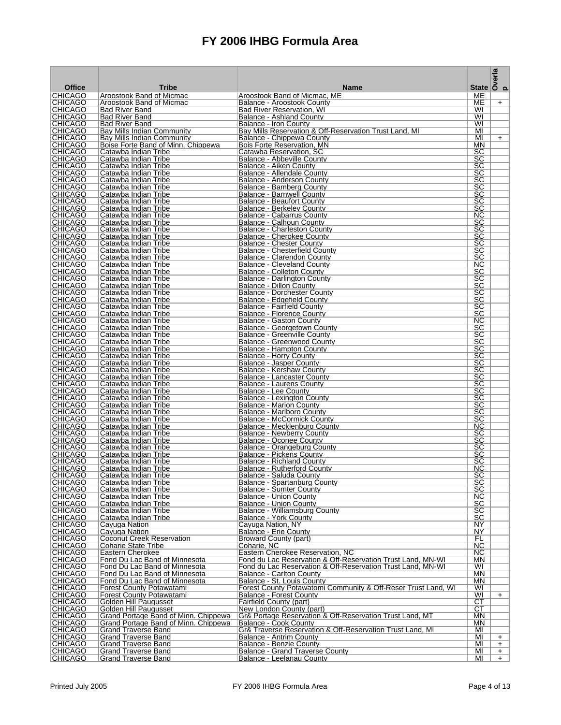|                                  |                                                                    |                                                                                                | State $\overline{\smash{\big)}\,^{\text{max}}_{\text{O}}}$ |            |
|----------------------------------|--------------------------------------------------------------------|------------------------------------------------------------------------------------------------|------------------------------------------------------------|------------|
| <b>Office</b>                    | <b>Tribe</b>                                                       | <b>Name</b>                                                                                    |                                                            |            |
| <b>CHICAGO</b><br><b>CHICAGO</b> | Aroostook Band of Micmac<br>Aroostook Band of Micmac               | Aroostook Band of Micmac, ME<br>Balance - Aroostook County                                     | МE<br>ME                                                   | $+$        |
| CHICAGO                          | <b>Bad River Band</b>                                              | Bad River Reservation, WI                                                                      | WI                                                         |            |
| <b>CHICAGO</b>                   | <b>Bad River Band</b>                                              | Balance - Ashland County                                                                       | WI                                                         |            |
| <b>CHICAGO</b><br><b>CHICAGO</b> | <b>Bad River Band</b><br><b>Bay Mills Indian Community</b>         | Balance - Iron County<br>Bay Mills Reservation & Off-Reservation Trust Land, MI                | WI<br>MI                                                   |            |
| <b>CHICAGO</b>                   | Bay Mills Indian Community                                         | Balance - Chippewa County                                                                      | MI                                                         | $+$        |
| CHICAGO                          | Boise Forte Band of Minn. Chippewa                                 | Bois Forte Reservation, MN                                                                     | MN                                                         |            |
| CHICAGO<br><b>CHICAGO</b>        | Catawba Indian Tribe<br>Catawba Indian Tribe                       | Catawba Reservation, SC<br>Balance - Abbeville County                                          | SC<br>SC                                                   |            |
| CHICAGO                          | Catawba Indian Tribe                                               | Balance - Aiken County                                                                         | SC                                                         |            |
| <b>CHICAGO</b>                   | Catawba Indian Tribe                                               | Balance - Allendale County                                                                     | SC                                                         |            |
| CHICAGO<br><b>CHICAGO</b>        | Catawba Indian Tribe<br>Catawba Indian Tribe                       | Balance - Anderson County<br>Balance - Bamberg County                                          | SC<br>$\overline{SC}$                                      |            |
| <b>CHICAGO</b>                   | Catawba Indian Tribe                                               | Balance - Barnwell County                                                                      | $\overline{SC}$                                            |            |
| <b>CHICAGO</b>                   | Catawba Indian Tribe                                               | Balance - Beaufort County                                                                      | $\overline{SC}$                                            |            |
| CHICAGO<br><b>CHICAGO</b>        | Catawba Indian Tribe<br>Catawba Indian Tribe                       | Balance - Berkeley County<br>Balance - Cabarrus County                                         | SC<br><b>NC</b>                                            |            |
| CHICAGO                          | Catawba Indian Tribe                                               | Balance - Calhoun County                                                                       | SC                                                         |            |
| <b>CHICAGO</b>                   | Catawba Indian Tribe                                               | Balance - Charleston County                                                                    | SC                                                         |            |
| <b>CHICAGO</b><br>CHICAGO        | Catawba Indian Tribe                                               | Balance - Cherokee County                                                                      | $\overline{SC}$<br>SC                                      |            |
| <b>CHICAGO</b>                   | Catawba Indian Tribe<br>Catawba Indian Tribe                       | Balance - Chester County<br>Balance - Chesterfield County                                      | $\overline{SC}$                                            |            |
| CHICAGO                          | Catawba Indian Tribe                                               | Balance - Clarendon County                                                                     | $\overline{\text{SC}}$                                     |            |
| <b>CHICAGO</b>                   | Catawba Indian Tribe                                               | <b>Balance - Cleveland County</b>                                                              | NС                                                         |            |
| CHICAGO<br><b>CHICAGO</b>        | Catawba Indian Tribe<br>Catawba Indian Tribe                       | Balance - Colleton County<br>Balance - Darlington County                                       | SC<br>$\overline{\text{SC}}$                               |            |
| <b>CHICAGO</b>                   | Catawba Indian Tribe                                               | <b>Balance - Dillon County</b>                                                                 | SC                                                         |            |
| <b>CHICAGO</b>                   | Catawba Indian Tribe                                               | Balance - Dorchester County                                                                    | SC                                                         |            |
| <b>CHICAGO</b><br><b>CHICAGO</b> | Catawba Indian Tribe<br>Catawba Indian Tribe                       | Balance - Edgefield County<br>Balance - Fairfield County                                       | $\overline{SC}$<br>$\overline{SC}$                         |            |
| <b>CHICAGO</b>                   | Catawba Indian Tribe                                               | Balance - Florence County                                                                      | $\overline{SC}$                                            |            |
| CHICAGO                          | Catawba Indian Tribe                                               | <b>Balance - Gaston County</b>                                                                 | NС                                                         |            |
| CHICAGO<br><b>CHICAGO</b>        | Catawba Indian Tribe                                               | Balance - Georgetown County                                                                    | SC<br>SC                                                   |            |
| CHICAGO                          | Catawba Indian Tribe<br>Catawba Indian Tribe                       | <b>Balance - Greenville County</b><br>Balance - Greenwood County                               | SC                                                         |            |
| <b>CHICAGO</b>                   | Catawba Indian Tribe                                               | Balance - Hampton County                                                                       | SC                                                         |            |
| CHICAGO                          | Catawba Indian Tribe                                               | Balance - Horry County                                                                         | SC                                                         |            |
| <b>CHICAGO</b><br>CHICAGO        | Catawba Indian Tribe<br>Catawba Indian Tribe                       | Balance - Jasper County<br>Balance - Kershaw County                                            | $\overline{SC}$<br>$\overline{SC}$                         |            |
| <b>CHICAGO</b>                   | Catawba Indian Tribe                                               | Balance - Lancaster County                                                                     | $\overline{SC}$                                            |            |
| CHICAGO                          | Catawba Indian Tribe                                               | Balance - Laurens County                                                                       | $\overline{SC}$                                            |            |
| <b>CHICAGO</b><br>CHICAGO        | Catawba Indian Tribe<br>Catawba Indian Tribe                       | Balance - Lee County<br>Balance - Lexington County                                             | $\overline{SC}$<br>$\overline{SC}$                         |            |
| <b>CHICAGO</b>                   | Catawba Indian Tribe                                               | Balance - Marion County                                                                        | SC                                                         |            |
| <b>CHICAGO</b>                   | Catawba Indian Tribe                                               | Balance - Marlboro County                                                                      | $\overline{SC}$                                            |            |
| CHICAGO<br><b>CHICAGO</b>        | Catawba Indian Tribe<br>Catawba Indian Tribe                       | Balance - McCormick County<br>Balance - Mecklenburg County                                     | SC<br>$\overline{\text{NC}}$                               |            |
| <b>CHICAGO</b>                   | Catawba Indian Tribe                                               | Balance - Newberry County                                                                      | SC                                                         |            |
| <b>CHICAGO</b>                   | Catawba Indian Tribe                                               | Balance - Oconee County                                                                        | $\overline{SC}$                                            |            |
| CHICAGO<br><b>CHICAGO</b>        | Catawba Indian Tribe<br>Catawba Indian Tribe                       | Balance - Orangeburg County<br>Balance - Pickens County                                        | SC<br>$\overline{\text{SC}}$                               |            |
| <b>CHICAGO</b>                   | Catawba Indian Tribe                                               | <b>Balance - Richland County</b>                                                               | $\overline{SC}$                                            |            |
| CHICAGO                          | Catawba Indian Tribe                                               | Balance - Rutherford County                                                                    | NС                                                         |            |
| CHICAGO<br><b>CHICAGO</b>        | Catawba Indian Tribe                                               | Balance - Saluda County                                                                        | $\overline{SC}$                                            |            |
| <b>CHICAGO</b>                   | Catawba Indian Tribe<br>Catawba Indian Tribe                       | Balance - Spartanburg County<br>Balance - Sumter County                                        | SC<br><u>SC</u>                                            |            |
| <b>CHICAGO</b>                   | Catawba Indian Tribe                                               | <b>Balance - Union County</b>                                                                  | NC.                                                        |            |
| <b>CHICAGO</b>                   | Catawba Indian Tribe                                               | Balance - Union County                                                                         | SC                                                         |            |
| <b>CHICAGO</b><br><b>CHICAGO</b> | Catawba Indian Tribe<br>Catawba Indian Tribe                       | Balance - Williamsburg County<br><b>Balance - York County</b>                                  | $\overline{SC}$<br>SC                                      |            |
| <b>CHICAGO</b>                   | Cayuga Nation                                                      | Cayuga Nation, NY                                                                              | NY                                                         |            |
| <b>CHICAGO</b>                   | Cayuga Nation                                                      | Balance - Erie County                                                                          | NY                                                         |            |
| <b>CHICAGO</b><br><b>CHICAGO</b> | <b>Coconut Creek Reservation</b><br><b>Coharie State Tribe</b>     | <b>Broward County (part)</b><br>Coharie, NC                                                    | FL<br>NC.                                                  |            |
| <b>CHICAGO</b>                   | Eastern Cherokee                                                   | Eastern Cherokee Reservation, NC                                                               | <b>NC</b>                                                  |            |
| <b>CHICAGO</b>                   | Fond Du Lac Band of Minnesota                                      | Fond du Lac Reservation & Off-Reservation Trust Land, MN-WI                                    | ΜN                                                         |            |
| <b>CHICAGO</b><br><b>CHICAGO</b> | Fond Du Lac Band of Minnesota<br>Fond Du Lac Band of Minnesota     | Fond du Lac Reservation & Off-Reservation Trust Land, MN-WI<br><b>Balance - Carlton County</b> | WI<br>MN.                                                  |            |
| <b>CHICAGO</b>                   | Fond Du Lac Band of Minnesota                                      | Balance - St. Louis County                                                                     | <b>MN</b>                                                  |            |
| <b>CHICAGO</b>                   | <b>Forest County Potawatami</b>                                    | Forest County Potawatomi Community & Off-Reser Trust Land, WI                                  | WI                                                         |            |
| <b>CHICAGO</b><br><b>CHICAGO</b> | Forest County Potawatami<br>Golden Hill Paugusset                  | <b>Balance - Forest County</b><br>Fairfield County (part)                                      | WI<br>CT                                                   | $+$        |
| <b>CHICAGO</b>                   | Golden Hill Paugusset                                              | New London County (part)                                                                       | СT                                                         |            |
| <b>CHICAGO</b>                   | Grand Portage Band of Minn. Chippewa                               | Gr& Portage Reservation & Off-Reservation Trust Land, MT                                       | ΜN                                                         |            |
| <b>CHICAGO</b><br><b>CHICAGO</b> | Grand Portage Band of Minn. Chippewa<br><b>Grand Traverse Band</b> | Balance - Cook County<br>Gr& Traverse Reservation & Off-Reservation Trust Land, MI             | ΜN<br>MI                                                   |            |
| <b>CHICAGO</b>                   | <b>Grand Traverse Band</b>                                         | <b>Balance - Antrim County</b>                                                                 | MI                                                         | $+$        |
| <b>CHICAGO</b>                   | <b>Grand Traverse Band</b>                                         | Balance - Benzie County                                                                        | MI                                                         | $+$        |
| <b>CHICAGO</b><br><b>CHICAGO</b> | <b>Grand Traverse Band</b><br><b>Grand Traverse Band</b>           | <b>Balance - Grand Traverse County</b><br>Balance - Leelanau County                            | MI<br>MI                                                   | $+$<br>$+$ |
|                                  |                                                                    |                                                                                                |                                                            |            |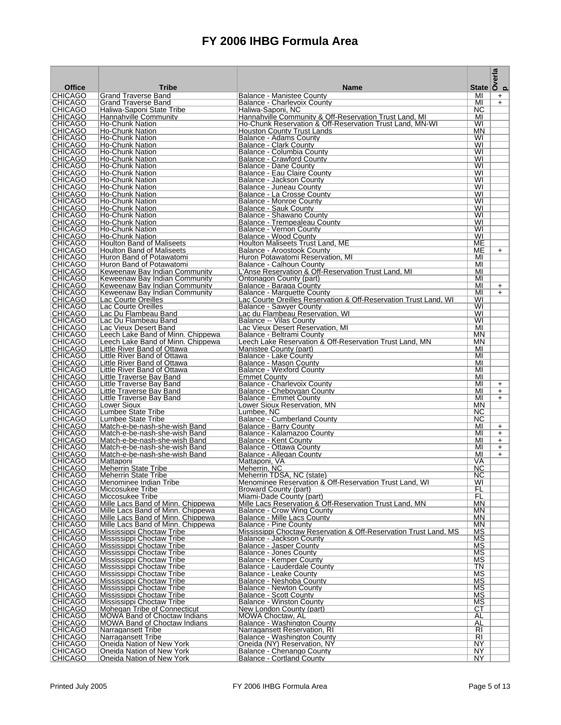|                                  |                                                                        |                                                                                                |                  | $\begin{array}{c}\n\overline{a} \\ \overline{b} \\ \overline{c} \\ \overline{d}\n\end{array}$ State $\begin{array}{c}\n\overline{a} \\ \overline{b} \\ \overline{c}\n\end{array}$ |
|----------------------------------|------------------------------------------------------------------------|------------------------------------------------------------------------------------------------|------------------|-----------------------------------------------------------------------------------------------------------------------------------------------------------------------------------|
| <b>Office</b>                    | <b>Tribe</b>                                                           | <b>Name</b>                                                                                    |                  |                                                                                                                                                                                   |
| <b>CHICAGO</b><br><b>CHICAGO</b> | Grand Traverse Band<br><b>Grand Traverse Band</b>                      | <b>Balance - Manistee County</b><br>Balance - Charlevoix Countv                                | MI<br>MI         | $\ddot{}$<br>$+$                                                                                                                                                                  |
| CHICAGO                          | Haliwa-Saponi State Tribe                                              | Haliwa-Saponi, NC                                                                              | NC.              |                                                                                                                                                                                   |
| <b>CHICAGO</b><br><b>CHICAGO</b> | Hannahville Community<br><b>Ho-Chunk Nation</b>                        | Hannahville Community & Off-Reservation Trust Land, MI                                         | MI<br>WI         |                                                                                                                                                                                   |
| <b>CHICAGO</b>                   | Ho-Chunk Nation                                                        | Ho-Chunk Reservation & Off-Reservation Trust Land, MN-WI<br>Houston County Trust Lands         | MN               |                                                                                                                                                                                   |
| <b>CHICAGO</b>                   | Ho-Chunk Nation                                                        | Balance - Adams County                                                                         | WI               |                                                                                                                                                                                   |
| CHICAGO                          | Ho-Chunk Nation                                                        | Balance - Clark County                                                                         | WI               |                                                                                                                                                                                   |
| CHICAGO<br><b>CHICAGO</b>        | Ho-Chunk Nation<br>Ho-Chunk Nation                                     | Balance - Columbia County<br><b>Balance - Crawford County</b>                                  | WI<br>WI         |                                                                                                                                                                                   |
| CHICAGO                          | Ho-Chunk Nation                                                        | Balance - Dane County                                                                          | WI               |                                                                                                                                                                                   |
| <b>CHICAGO</b>                   | Ho-Chunk Nation                                                        | <b>Balance - Eau Claire County</b>                                                             | WI               |                                                                                                                                                                                   |
| CHICAGO<br><b>CHICAGO</b>        | Ho-Chunk Nation<br>Ho-Chunk Nation                                     | Balance - Jackson Countv<br>Balance - Juneau County                                            | WI<br>WI         |                                                                                                                                                                                   |
| <b>CHICAGO</b>                   | <b>Ho-Chunk Nation</b>                                                 | Balance - La Crosse Countv                                                                     | WI               |                                                                                                                                                                                   |
| <b>CHICAGO</b>                   | Ho-Chunk Nation                                                        | Balance - Monroe County                                                                        | WI               |                                                                                                                                                                                   |
| <b>CHICAGO</b><br><b>CHICAGO</b> | Ho-Chunk Nation<br>Ho-Chunk Nation                                     | <b>Balance - Sauk County</b><br>Balance - Shawano County                                       | WI<br>WI         |                                                                                                                                                                                   |
| CHICAGO                          | Ho-Chunk Nation                                                        | Balance - Trempealeau County                                                                   | WI               |                                                                                                                                                                                   |
| <b>CHICAGO</b>                   | <b>Ho-Chunk Nation</b>                                                 | Balance - Vernon County                                                                        | WI               |                                                                                                                                                                                   |
| <b>CHICAGO</b><br><b>CHICAGO</b> | <b>Ho-Chunk Nation</b><br><b>Houlton Band of Maliseets</b>             | Balance - Wood County<br>Houlton Maliseets Trust Land, ME                                      | WI<br>ME         |                                                                                                                                                                                   |
| <b>CHICAGO</b>                   | <b>Houlton Band of Maliseets</b>                                       | Balance - Aroostook County                                                                     | ME               | $+$                                                                                                                                                                               |
| <b>CHICAGO</b>                   | Huron Band of Potawatomi                                               | Huron Potawatomi Reservation, MI                                                               | MI               |                                                                                                                                                                                   |
| <b>CHICAGO</b><br><b>CHICAGO</b> | Huron Band of Potawatomi<br>Keweenaw Bay Indian Community              | Balance - Calhoun County<br>L'Anse Reservation & Off-Reservation Trust Land, MI                | MI<br>MI         |                                                                                                                                                                                   |
| <b>CHICAGO</b>                   | Keweenaw Bay Indian Community                                          | Ontonagon County (part)                                                                        | MI               |                                                                                                                                                                                   |
| <b>CHICAGO</b>                   | Keweenaw Bay Indian Community                                          | Balance - Baraga County                                                                        | MI               | $+$                                                                                                                                                                               |
| <b>CHICAGO</b><br><b>CHICAGO</b> | Keweenaw Bay Indian Community<br>Lac Courte Oreilles                   | Balance - Marquette County<br>Lac Courte Oreilles Reservation & Off-Reservation Trust Land, WI | MI<br>WI         | $+$                                                                                                                                                                               |
| <b>CHICAGO</b>                   | Lac Courte Oreilles                                                    | Balance - Sawver Countv                                                                        | WI               |                                                                                                                                                                                   |
| <b>CHICAGO</b>                   | Lac Du Flambeau Band                                                   | Lac du Flambeau Reservation, WI                                                                | WI               |                                                                                                                                                                                   |
| <b>CHICAGO</b><br><b>CHICAGO</b> | Lac Du Flambeau Band<br>Lac Vieux Desert Band                          | Balance -- Vilas County<br>Lac Vieux Desert Reservation, MI                                    | WI<br>MI         |                                                                                                                                                                                   |
| <b>CHICAGO</b>                   | Leech Lake Band of Minn. Chippewa                                      | Balance - Beltrami County                                                                      | <b>MN</b>        |                                                                                                                                                                                   |
| CHICAGO                          | Leech Lake Band of Minn. Chippewa                                      | Leech Lake Reservation & Off-Reservation Trust Land, MN                                        | <b>MN</b>        |                                                                                                                                                                                   |
| <b>CHICAGO</b><br><b>CHICAGO</b> | Little River Band of Ottawa<br>Little River Band of Ottawa             | Manistee County (part)<br>Balance - Lake County                                                | MI<br>MI         |                                                                                                                                                                                   |
| <b>CHICAGO</b>                   | Little River Band of Ottawa                                            | Balance - Mason County                                                                         | MI               |                                                                                                                                                                                   |
| <b>CHICAGO</b>                   | Little River Band of Ottawa                                            | Balance - Wexford County                                                                       | MI               |                                                                                                                                                                                   |
| <b>CHICAGO</b><br><b>CHICAGO</b> | Little Traverse Bay Band<br>Little Traverse Bay Band                   | Emmet County<br>Balance - Charlevoix County                                                    | MI<br>MI         | $+$                                                                                                                                                                               |
| <b>CHICAGO</b>                   | Little Traverse Bay Band                                               | Balance - Cheboygan County                                                                     | MI               | $+$                                                                                                                                                                               |
| CHICAGO                          | Little Traverse Bay Band                                               | Balance - Emmet County                                                                         | MI               | $+$                                                                                                                                                                               |
| <b>CHICAGO</b><br><b>CHICAGO</b> | Lower Sioux<br>Lumbee State Tribe                                      | Lower Sioux Reservation, MN<br>Lumbee, NC                                                      | MN<br>NC.        |                                                                                                                                                                                   |
| <b>CHICAGO</b>                   | Lumbee State Tribe                                                     | Balance - Cumberland County                                                                    | NC.              |                                                                                                                                                                                   |
| <b>CHICAGO</b>                   | Match-e-be-nash-she-wish Band                                          | Balance - Barry County                                                                         | MI               | $+$                                                                                                                                                                               |
| <b>CHICAGO</b><br><b>CHICAGO</b> | Match-e-be-nash-she-wish Band<br>Match-e-be-nash-she-wish Band         | Balance - Kalamazoo County<br>Balance - Kent County                                            | MI<br>МI         | $+$<br>$+$                                                                                                                                                                        |
| <b>CHICAGO</b>                   | Match-e-be-nash-she-wish Band                                          | Balance - Ottawa County                                                                        | MI               | $+$                                                                                                                                                                               |
| <b>CHICAGO</b>                   | Match-e-be-nash-she-wish Band                                          | Balance - Allegan County                                                                       | MI               | $+$                                                                                                                                                                               |
| <b>CHICAGO</b><br><b>CHICAGO</b> | Mattaponi<br><b>Meherrin State Tribe</b>                               | Mattaponi, VA<br>Meherrin, NC                                                                  | VA<br>NC.        |                                                                                                                                                                                   |
| CHICAGO                          | Meherrin State Tribe                                                   | Meherrin TDSA, NC (state)                                                                      | NС               |                                                                                                                                                                                   |
| <b>CHICAGO</b><br><b>CHICAGO</b> | Menominee Indian Tribe                                                 | Menominee Reservation & Off-Reservation Trust Land, WI                                         | WI<br>FL         |                                                                                                                                                                                   |
| <b>CHICAGO</b>                   | Miccosukee Tribe<br>Miccosukee Tribe                                   | Broward County (part)<br>Miami-Dade County (part)                                              | FL               |                                                                                                                                                                                   |
| CHICAGO                          | Mille Lacs Band of Minn. Chippewa                                      | Mille Lacs Reservation & Off-Reservation Trust Land, MN                                        | ΜN               |                                                                                                                                                                                   |
| <b>CHICAGO</b><br><b>CHICAGO</b> | Mille Lacs Band of Minn. Chippewa                                      | Balance - Crow Wing County<br>Balance - Mille Lacs County                                      | <b>MN</b><br>MN. |                                                                                                                                                                                   |
| <b>CHICAGO</b>                   | Mille Lacs Band of Minn. Chippewa<br>Mille Lacs Band of Minn. Chippewa | <b>Balance - Pine County</b>                                                                   | MN               |                                                                                                                                                                                   |
| <b>CHICAGO</b>                   | Mississippi Choctaw Tribe                                              | Mississippi Choctaw Reservation & Off-Reservation Trust Land, MS                               | мs               |                                                                                                                                                                                   |
| <b>CHICAGO</b>                   | Mississippi Choctaw Tribe                                              | Balance - Jackson County                                                                       | MS               |                                                                                                                                                                                   |
| <b>CHICAGO</b><br><b>CHICAGO</b> | Mississippi Choctaw Tribe<br>Mississippi Choctaw Tribe                 | Balance - Jasper County<br>Balance - Jones County                                              | МS<br>МS         |                                                                                                                                                                                   |
| <b>CHICAGO</b>                   | Mississippi Choctaw Tribe                                              | Balance - Kemper County                                                                        | мs               |                                                                                                                                                                                   |
| <b>CHICAGO</b>                   | Mississippi Choctaw Tribe                                              | Balance - Lauderdale County                                                                    | TN               |                                                                                                                                                                                   |
| <b>CHICAGO</b><br><b>CHICAGO</b> | Mississippi Choctaw Tribe<br>Mississippi Choctaw Tribe                 | Balance - Leake County<br>Balance - Neshoba County                                             | МS<br>МS         |                                                                                                                                                                                   |
| <b>CHICAGO</b>                   | Mississippi Choctaw Tribe                                              | <b>Balance - Newton County</b>                                                                 | <b>MS</b>        |                                                                                                                                                                                   |
| <b>CHICAGO</b>                   | Mississippi Choctaw Tribe                                              | <b>Balance - Scott County</b>                                                                  | MS               |                                                                                                                                                                                   |
| <b>CHICAGO</b><br><b>CHICAGO</b> | Mississippi Choctaw Tribe<br>Mohegan Tribe of Connecticut              | <b>Balance - Winston County</b><br>New London County (part)                                    | MS<br>СT         |                                                                                                                                                                                   |
| <b>CHICAGO</b>                   | <b>MOWA Band of Choctaw Indians</b>                                    | MOWA Choctaw, AL                                                                               | AL               |                                                                                                                                                                                   |
| CHICAGO                          | <b>MOWA Band of Choctaw Indians</b>                                    | Balance - Washington County                                                                    | AL               |                                                                                                                                                                                   |
| <b>CHICAGO</b><br><b>CHICAGO</b> | Narragansett Tribe<br>Narragansett Tribe                               | Narragansett Reservation, RI<br>Balance - Washington County                                    | RI<br>RI         |                                                                                                                                                                                   |
| <b>CHICAGO</b>                   | Oneida Nation of New York                                              | Oneida (NY) Reservation, NY                                                                    | NY               |                                                                                                                                                                                   |
| <b>CHICAGO</b>                   | Oneida Nation of New York                                              | Balance - Chenango County                                                                      | NY               |                                                                                                                                                                                   |
| <b>CHICAGO</b>                   | Oneida Nation of New York                                              | Balance - Cortland County                                                                      | NY               |                                                                                                                                                                                   |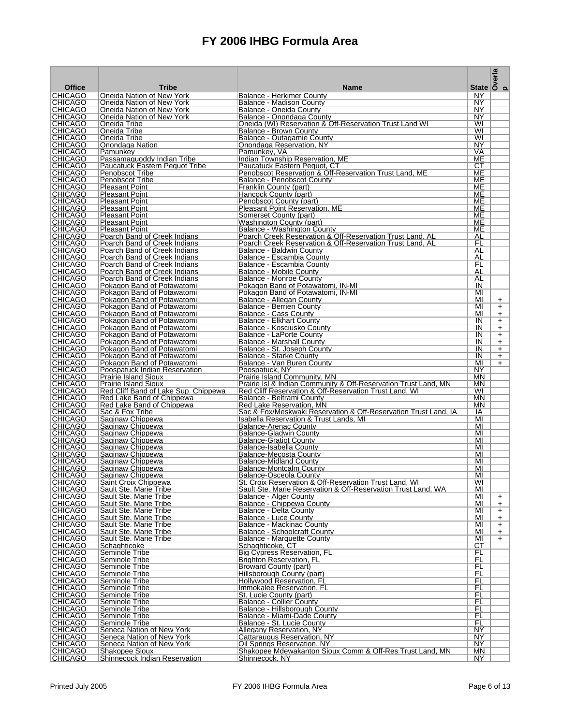|                                  |                                                              |                                                                                                 | State $\overline{\smash{\big)}\,^{\text{m}}_{\text{c}}$ |            |
|----------------------------------|--------------------------------------------------------------|-------------------------------------------------------------------------------------------------|---------------------------------------------------------|------------|
| <b>Office</b>                    | <b>Tribe</b>                                                 | <b>Name</b>                                                                                     |                                                         |            |
| <b>CHICAGO</b><br><b>CHICAGO</b> | Oneida Nation of New York                                    | Balance - Herkimer County                                                                       | ΝY<br>NY                                                |            |
| CHICAGO                          | Oneida Nation of New York<br>Oneida Nation of New York       | Balance - Madison County<br>Balance - Oneida County                                             | NY                                                      |            |
| <b>CHICAGO</b>                   | Oneida Nation of New York                                    | Balance - Onondaga County                                                                       | ΝY                                                      |            |
| <b>CHICAGO</b>                   | Oneida Tribe                                                 | Oneida (WI) Reservation & Off-Reservation Trust Land WI                                         | WI                                                      |            |
| <b>CHICAGO</b><br><b>CHICAGO</b> | Oneida Tribe<br>Oneida Tribe                                 | <b>Balance - Brown County</b><br>Balance - Outagamie County                                     | WI<br>WI                                                |            |
| CHICAGO                          | Onondaga Nation                                              | Onondaga Reservation, NY                                                                        | NY                                                      |            |
| CHICAGO                          | Pamunkey                                                     | Pamunkey, VA                                                                                    | VA                                                      |            |
| <b>CHICAGO</b>                   | Passamaguoddy Indian Tribe                                   | Indian Township Reservation, ME                                                                 | ME                                                      |            |
| CHICAGO<br><b>CHICAGO</b>        | <b>Paucatuck Eastern Pequot Tribe</b><br>Penobscot Tribe     | Paucatuck Eastern Pequot, CT<br>Penobscot Reservation & Off-Reservation Trust Land. ME          | СT<br>МE                                                |            |
| CHICAGO                          | Penobscot Tribe                                              | Balance - Penobscot County                                                                      | ME                                                      |            |
| <b>CHICAGO</b>                   | <b>Pleasant Point</b>                                        | Franklin County (part)                                                                          | ME                                                      |            |
| CHICAGO                          | <b>Pleasant Point</b>                                        | Hancock County (part)                                                                           | ME                                                      |            |
| <b>CHICAGO</b><br><b>CHICAGO</b> | <b>Pleasant Point</b><br><b>Pleasant Point</b>               | Penobscot County (part)<br>Pleasant Point Reservation, ME                                       | ME<br>ME                                                |            |
| <b>CHICAGO</b>                   | <b>Pleasant Point</b>                                        | Somerset County (part)                                                                          | ME                                                      |            |
| CHICAGO                          | <b>Pleasant Point</b>                                        | Washington County (part)                                                                        | ME                                                      |            |
| <b>CHICAGO</b><br><b>CHICAGO</b> | <b>Pleasant Point</b><br>Poarch Band of Creek Indians        | Balance - Washington County<br>Poarch Creek Reservation & Off-Reservation Trust Land, AL        | ME                                                      |            |
| CHICAGO                          | Poarch Band of Creek Indians                                 | Poarch Creek Reservation & Off-Reservation Trust Land, AL                                       | AL<br>FL                                                |            |
| <b>CHICAGO</b>                   | Poarch Band of Creek Indians                                 | Balance - Baldwin County                                                                        | AL                                                      |            |
| <b>CHICAGO</b>                   | Poarch Band of Creek Indians                                 | Balance - Escambia County                                                                       | AL                                                      |            |
| <b>CHICAGO</b>                   | Poarch Band of Creek Indians                                 | Balance - Escambia County                                                                       | FL<br>AL                                                |            |
| CHICAGO<br><b>CHICAGO</b>        | Poarch Band of Creek Indians<br>Poarch Band of Creek Indians | Balance - Mobile County<br>Balance - Monroe County                                              | AL                                                      |            |
| <b>CHICAGO</b>                   | Pokagon Band of Potawatomi                                   | Pokagon Band of Potawatomi, IN-MI                                                               | IN                                                      |            |
| <b>CHICAGO</b>                   | Pokagon Band of Potawatomi                                   | Pokagon Band of Potawatomi, IN-MI                                                               | MI                                                      |            |
| <b>CHICAGO</b>                   | Pokagon Band of Potawatomi                                   | Balance - Allegan County                                                                        | MI                                                      | $+$        |
| <b>CHICAGO</b><br><b>CHICAGO</b> | Pokagon Band of Potawatomi<br>Pokagon Band of Potawatomi     | Balance - Berrien Countv<br>Balance - Cass County                                               | MI<br>MI                                                | $+$<br>$+$ |
| CHICAGO                          | Pokagon Band of Potawatomi                                   | Balance - Elkhart County                                                                        | IN                                                      | $\ddot{}$  |
| <b>CHICAGO</b>                   | Pokagon Band of Potawatomi                                   | Balance - Kosciusko County                                                                      | IN                                                      | $+$        |
| <b>CHICAGO</b>                   | Pokagon Band of Potawatomi                                   | Balance - LaPorte County                                                                        | IN                                                      | $+$        |
| CHICAGO<br><b>CHICAGO</b>        | Pokagon Band of Potawatomi<br>Pokagon Band of Potawatomi     | Balance - Marshall County<br>Balance - St. Joseph County                                        | IN<br>IN                                                | $+$<br>$+$ |
| CHICAGO                          | Pokagon Band of Potawatomi                                   | Balance - Starke County                                                                         | IN                                                      | $+$        |
| <b>CHICAGO</b>                   | Pokagon Band of Potawatomi                                   | Balance - Van Buren County                                                                      | MI                                                      | $+$        |
| CHICAGO<br><b>CHICAGO</b>        | Poospatuck Indian Reservation                                | Poospatuck, NY                                                                                  | NY<br><b>MN</b>                                         |            |
| CHICAGO                          | <b>Prairie Island Sioux</b><br><b>Prairie Island Sioux</b>   | Prairie Island Community, MN<br>Prairie Isl & Indian Community & Off-Reservation Trust Land, MN | <b>MN</b>                                               |            |
| <b>CHICAGO</b>                   | Red Cliff Band of Lake Sup. Chippewa                         | Red Cliff Reservation & Off-Reservation Trust Land, WI                                          | WI                                                      |            |
| CHICAGO                          | Red Lake Band of Chippewa                                    | Balance - Beltrami County                                                                       | <b>MN</b>                                               |            |
| CHICAGO<br><b>CHICAGO</b>        | Red Lake Band of Chippewa<br>Sac & Fox Tribe                 | Red Lake Reservation. MN<br>Sac & Fox/Meskwaki Reservation & Off-Reservation Trust Land, IA     | <b>MN</b><br>ΙA                                         |            |
| CHICAGO                          | Saginaw Chippewa                                             | Isabella Reservation & Trust Lands, MI                                                          | MI                                                      |            |
| <b>CHICAGO</b>                   | Saginaw Chippewa                                             | Balance-Arenac County                                                                           | MI                                                      |            |
| <b>CHICAGO</b>                   | Saginaw Chippewa                                             | Balance-Gladwin County                                                                          | MI                                                      |            |
| <b>CHICAGO</b><br>CHICAGO        | Saginaw Chippewa<br>Saginaw Chippewa                         | <b>Balance-Gratiot County</b><br>Balance-Isabella County                                        | MI<br>MI                                                |            |
| <b>CHICAGO</b>                   | Saginaw Chippewa                                             | Balance-Mecosta County                                                                          | MI                                                      |            |
| <b>CHICAGO</b>                   | Saginaw Chippewa                                             | Balance-Midland County                                                                          | MI                                                      |            |
| CHICAGO                          | Saginaw Chippewa                                             | Balance-Montcalm County                                                                         | MI                                                      |            |
| CHICAGO<br><b>CHICAGO</b>        | Saginaw Chippewa<br>Saint Croix Chippewa                     | Balance-Osceola County<br>St. Croix Reservation & Off-Reservation Trust Land, WI                | MI<br>WI                                                |            |
| <b>CHICAGO</b>                   | Sault Ste. Marie Tribe                                       | Sault Ste. Marie Reservation & Off-Reservation Trust Land, WA                                   | MI                                                      |            |
| <b>CHICAGO</b>                   | Sault Ste. Marie Tribe                                       | Balance - Alger County                                                                          | MI                                                      | $+$        |
| <b>CHICAGO</b><br><b>CHICAGO</b> | Sault Ste. Marie Tribe<br>Sault Ste. Marie Tribe             | Balance - Chippewa County<br><b>Balance - Delta County</b>                                      | MI<br>MI                                                | $+$<br>$+$ |
| <b>CHICAGO</b>                   | Sault Ste. Marie Tribe                                       | <b>Balance - Luce County</b>                                                                    | MI                                                      | $+$        |
| <b>CHICAGO</b>                   | Sault Ste. Marie Tribe                                       | <b>Balance - Mackinac County</b>                                                                | MI                                                      | $+$        |
| <b>CHICAGO</b>                   | Sault Ste. Marie Tribe                                       | Balance - Schoolcraft County                                                                    | MI                                                      | $+$        |
| <b>CHICAGO</b><br><b>CHICAGO</b> | Sault Ste. Marie Tribe<br>Schaghticoke                       | <b>Balance - Marquette County</b><br>Schaghticoke, CT                                           | MI<br>CТ                                                | $+$        |
| <b>CHICAGO</b>                   | Seminole Tribe                                               | Big Cypress Reservation, FL                                                                     | FL                                                      |            |
| <b>CHICAGO</b>                   | Seminole Tribe                                               | <b>Brighton Reservation, FL</b>                                                                 | FL                                                      |            |
| <b>CHICAGO</b>                   | Seminole Tribe                                               | <b>Broward County (part)</b>                                                                    | FL<br>FL                                                |            |
| <b>CHICAGO</b><br><b>CHICAGO</b> | Seminole Tribe<br>Seminole Tribe                             | Hillsborough County (part)<br>Hollywood Reservation, FL                                         | FL                                                      |            |
| <b>CHICAGO</b>                   | Seminole Tribe                                               | Immokalee Reservation, FL                                                                       | FL                                                      |            |
| <b>CHICAGO</b>                   | Seminole Tribe                                               | St. Lucie County (part)                                                                         | FL                                                      |            |
| <b>CHICAGO</b><br><b>CHICAGO</b> | Seminole Tribe                                               | <b>Balance - Collier County</b>                                                                 | FL                                                      |            |
| <b>CHICAGO</b>                   | Seminole Tribe<br>Seminole Tribe                             | Balance - Hillsborough County<br>Balance - Miami-Dade County                                    | FL<br>FL                                                |            |
| CHICAGO                          | Seminole Tribe                                               | Balance - St. Lucie County                                                                      | FL                                                      |            |
| <b>CHICAGO</b>                   | Seneca Nation of New York                                    | Allegany Reservation, NY                                                                        | NY                                                      |            |
| <b>CHICAGO</b><br><b>CHICAGO</b> | Seneca Nation of New York<br>Seneca Nation of New York       | Cattaraugus Reservation, NY<br>Oil Springs Reservation, NY                                      | NY<br>NY                                                |            |
| <b>CHICAGO</b>                   | Shakopee Sioux                                               | Shakopee Mdewakanton Sioux Comm & Off-Res Trust Land, MN                                        | MN                                                      |            |
| <b>CHICAGO</b>                   | Shinnecock Indian Reservation                                | Shinnecock, NY                                                                                  | NY.                                                     |            |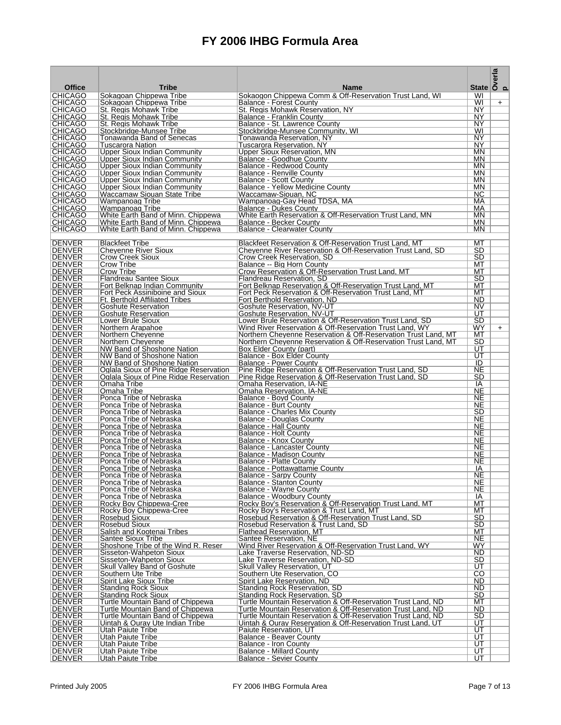|                                  |                                                                      |                                                                                                                                  | State $\overline{\overset{a}{\underset{c}{\text{S}}}}$ |     |
|----------------------------------|----------------------------------------------------------------------|----------------------------------------------------------------------------------------------------------------------------------|--------------------------------------------------------|-----|
| <b>Office</b><br><b>CHICAGO</b>  | <b>Tribe</b><br>Sokagoan Chippewa Tribe                              | <b>Name</b><br>Sokaogon Chippewa Comm & Off-Reservation Trust Land. WI                                                           | WI                                                     |     |
| <b>CHICAGO</b>                   | Sokagoan Chippewa Tribe                                              | Balance - Forest County                                                                                                          | WI                                                     | $+$ |
| <b>CHICAGO</b>                   | St. Regis Mohawk Tribe                                               | St. Regis Mohawk Reservation, NY                                                                                                 | NY.                                                    |     |
| <b>CHICAGO</b>                   | St. Regis Mohawk Tribe                                               | Balance - Franklin County                                                                                                        | NY.<br>NY                                              |     |
| CHICAGO<br><b>CHICAGO</b>        | St. Regis Mohawk Tribe<br>Stockbridge-Munsee Tribe                   | Balance - St. Lawrence County<br>Stockbridge-Munsee Community, WI                                                                | WI                                                     |     |
| CHICAGO                          | Tonawanda Band of Senecas                                            | Tonawanda Reservation, NY                                                                                                        | NY.                                                    |     |
| <b>CHICAGO</b>                   | Tuscarora Nation                                                     | Tuscarora Reservation, NY                                                                                                        | NY                                                     |     |
| <b>CHICAGO</b><br><b>CHICAGO</b> | Upper Sioux Indian Community<br>Upper Sioux Indian Community         | Upper Sioux Reservation, MN<br>Balance - Goodhue County                                                                          | MN.<br>MN                                              |     |
| <b>CHICAGO</b>                   | Upper Sioux Indian Community                                         | Balance - Redwood County                                                                                                         | <b>MN</b>                                              |     |
| <b>CHICAGO</b>                   | Upper Sioux Indian Community                                         | <b>Balance - Renville County</b>                                                                                                 | <b>MN</b>                                              |     |
| <b>CHICAGO</b><br><b>CHICAGO</b> | Upper Sioux Indian Community<br>Upper Sioux Indian Community         | <b>Balance - Scott County</b><br>Balance - Yellow Medicine County                                                                | MN<br>MN                                               |     |
| CHICAGO                          | Waccamaw Siouan State Tribe                                          | Waccamaw-Siouan, NC                                                                                                              | NC.                                                    |     |
| <b>CHICAGO</b>                   | Wampanoag Tribe                                                      | Wampanoag-Gay Head TDSA, MA                                                                                                      | МA                                                     |     |
| <b>CHICAGO</b><br><b>CHICAGO</b> | Wampanoag Tribe<br>White Earth Band of Minn. Chippewa                | Balance - Dukes County<br>White Earth Reservation & Off-Reservation Trust Land, MN                                               | МA<br>MN                                               |     |
| CHICAGO                          | White Earth Band of Minn. Chippewa                                   | Balance - Becker County                                                                                                          | <b>MN</b>                                              |     |
| <b>CHICAGO</b>                   | White Earth Band of Minn. Chippewa                                   | Balance - Clearwater County                                                                                                      | MN                                                     |     |
|                                  |                                                                      |                                                                                                                                  |                                                        |     |
| <b>DENVER</b><br><b>DENVER</b>   | <b>Blackfeet Tribe</b><br><b>Chevenne River Sioux</b>                | Blackfeet Reservation & Off-Reservation Trust Land, MT<br>Cheyenne River Reservation & Off-Reservation Trust Land, SD            | MT<br><b>SD</b>                                        |     |
| <b>DENVER</b>                    | Crow Creek Sioux                                                     | Crow Creek Reservation, SD                                                                                                       | SD.                                                    |     |
| <b>DENVER</b>                    | Crow Tribe                                                           | Balance -- Big Horn County                                                                                                       | МT                                                     |     |
| DENVER<br>DENVER                 | Crow Tribe<br>Flandreau Santee Sioux                                 | Crow Reservation & Off-Reservation Trust Land, MT<br>Flandreau Reservation, SD                                                   | МT<br>SD                                               |     |
| <b>DENVER</b>                    | Fort Belknap Indian Community                                        | Fort Belknap Reservation & Off-Reservation Trust Land, MT                                                                        | МT                                                     |     |
| <b>DENVER</b>                    | Fort Peck Assiniboine and Sioux                                      | Fort Peck Reservation & Off-Reservation Trust Land, MT                                                                           | МT                                                     |     |
| <b>DENVER</b><br><b>DENVER</b>   | <b>Ft. Berthold Affiliated Tribes</b><br><b>Goshute Reservation</b>  | Fort Berthold Reservation. ND<br>Goshute Reservation, NV-UT                                                                      | ND<br>NV                                               |     |
| DENVER                           | Goshute Reservation                                                  | Goshute Reservation, NV-UT                                                                                                       | UT                                                     |     |
| <b>DENVER</b>                    | Lower Brule Sioux                                                    | Lower Brule Reservation & Off-Reservation Trust Land, SD                                                                         | SD                                                     |     |
| DENVER                           | Northern Arapahoe                                                    | Wind River Reservation & Off-Reservation Trust Land, WY                                                                          | WY                                                     | $+$ |
| <b>DENVER</b><br>DENVER          | Northern Cheyenne<br>Northern Cheyenne                               | Northern Cheyenne Reservation & Off-Reservation Trust Land, MT<br>Northern Cheyenne Reservation & Off-Reservation Trust Land, MT | МT<br>SD                                               |     |
| <b>DENVER</b>                    | NW Band of Shoshone Nation                                           | Box Elder County (part)                                                                                                          | UT                                                     |     |
| <b>DENVER</b>                    | NW Band of Shoshone Nation                                           | Balance - Box Elder County                                                                                                       | UT                                                     |     |
| <b>DENVER</b><br><b>DENVER</b>   | NW Band of Shoshone Nation<br>Oglala Sioux of Pine Ridge Reservation | <b>Balance - Power County</b><br>Pine Ridge Reservation & Off-Reservation Trust Land, SD                                         | ID<br><b>NE</b>                                        |     |
| <b>DENVER</b>                    | Oglala Sioux of Pine Ridge Reservation                               | Pine Ridge Reservation & Off-Reservation Trust Land, SD                                                                          | SD                                                     |     |
| <b>DENVER</b>                    | Omaha Tribe                                                          | Omaha Reservation, IA-NE                                                                                                         | IA                                                     |     |
| DENVER<br><b>DENVER</b>          | Omaha Tribe<br>Ponca Tribe of Nebraska                               | Omaha Reservation, IA-NE<br>Balance - Boyd County                                                                                | <b>NE</b><br>NE                                        |     |
| <b>DENVER</b>                    | Ponca Tribe of Nebraska                                              | <b>Balance - Burt County</b>                                                                                                     | <b>NE</b>                                              |     |
| <b>DENVER</b>                    | Ponca Tribe of Nebraska                                              | Balance - Charles Mix County                                                                                                     | <b>SD</b>                                              |     |
| DENVER<br><b>DENVER</b>          | Ponca Tribe of Nebraska<br>Ponca Tribe of Nebraska                   | Balance - Douglas County<br>Balance - Hall County                                                                                | <b>NE</b><br><b>NE</b>                                 |     |
| <b>DENVER</b>                    | Ponca Tribe of Nebraska                                              | Balance - Holt County                                                                                                            | <b>NE</b>                                              |     |
| DENVER                           | Ponca Tribe of Nebraska                                              | Balance - Knox County                                                                                                            | <b>NE</b>                                              |     |
| DENVER<br>DENVER                 | Ponca Tribe of Nebraska<br>Ponca Tribe of Nebraska                   | Balance - Lancaster County<br>Balance - Madison County                                                                           | <b>NE</b><br>NE                                        |     |
| <b>DENVER</b>                    | Ponca Tribe of Nebraska                                              | Balance - Platte County                                                                                                          | NE                                                     |     |
| <b>DENVER</b>                    | Ponca Tribe of Nebraska                                              | Balance - Pottawattamie County                                                                                                   | IA                                                     |     |
| IDENVER<br><b>DENVER</b>         | Ponca Tribe of Nebraska<br>Ponca Tribe of Nebraska                   | <b>Balance - Sarpy County</b><br><b>Balance - Stanton County</b>                                                                 | <b>NE</b><br><b>NE</b>                                 |     |
| <b>DENVER</b>                    | Ponca Tribe of Nebraska                                              | Balance - Wayne County                                                                                                           | NE                                                     |     |
| <b>DENVER</b>                    | Ponca Tribe of Nebraska                                              | <b>Balance - Woodbury County</b>                                                                                                 | IA                                                     |     |
| <b>DENVER</b><br><b>DENVER</b>   | Rocky Boy Chippewa-Cree<br>Rocky Boy Chippewa-Cree                   | Rocky Boy's Reservation & Off-Reservation Trust Land, MT<br>Rocky Boy's Reservation & Trust Land, MT                             | МT<br>МT                                               |     |
| <b>DENVER</b>                    | Rosebud Sioux                                                        | Rosebud Reservation & Off-Reservation Trust Land, SD                                                                             | SD                                                     |     |
| <b>DENVER</b>                    | <b>Rosebud Sioux</b>                                                 | Rosebud Reservation & Trust Land, SD                                                                                             | SD                                                     |     |
| <b>DENVER</b><br><b>DENVER</b>   | Salish and Kootenai Tribes<br><b>Santee Sioux Tribe</b>              | <b>Flathead Reservation, MT</b><br>Santee Reservation, NE                                                                        | МT<br><b>NE</b>                                        |     |
| <b>DENVER</b>                    | Shoshone Tribe of the Wind R. Reser                                  | Wind River Reservation & Off-Reservation Trust Land, WY                                                                          | WY                                                     |     |
| <b>DENVER</b>                    | Sisseton-Wahpeton Sioux                                              | Lake Traverse Reservation, ND-SD                                                                                                 | <b>ND</b>                                              |     |
| <b>DENVER</b>                    | Sisseton-Wahpeton Sioux                                              | Lake Traverse Reservation, ND-SD                                                                                                 | SD                                                     |     |
| <b>DENVER</b><br><b>DENVER</b>   | <b>Skull Valley Band of Goshute</b><br>Southern Ute Tribe            | <b>Skull Valley Reservation, UT</b><br>Southern Ute Reservation, CO                                                              | UT<br>CO                                               |     |
| <b>DENVER</b>                    | Spirit Lake Sioux Tribe                                              | Spirit Lake Reservation, ND                                                                                                      | ND                                                     |     |
| <b>DENVER</b>                    | <b>Standing Rock Sioux</b>                                           | <b>Standing Rock Reservation, SD</b><br><b>Standing Rock Reservation, SD</b>                                                     | ND.<br><b>SD</b>                                       |     |
| <b>DENVER</b><br><b>DENVER</b>   | <b>Standing Rock Sioux</b><br>Turtle Mountain Band of Chippewa       | Turtle Mountain Reservation & Off-Reservation Trust Land, ND                                                                     | МT                                                     |     |
| <b>DENVER</b>                    | Turtle Mountain Band of Chippewa                                     | Turtle Mountain Reservation & Off-Reservation Trust Land, ND                                                                     | ND                                                     |     |
| <b>DENVER</b>                    | Turtle Mountain Band of Chippewa                                     | Turtle Mountain Reservation & Off-Reservation Trust Land, ND                                                                     | SD                                                     |     |
| <b>DENVER</b><br><b>DENVER</b>   | Uintah & Ouray Ute Indian Tribe<br>Utah Paiute Tribe                 | Uintah & Ouray Reservation & Off-Reservation Trust Land, UT<br>Paiute Reservation, UT                                            | UT<br>UT                                               |     |
| <b>DENVER</b>                    | Utah Paiute Tribe                                                    | Balance - Beaver County                                                                                                          | UT                                                     |     |
| <b>DENVER</b>                    | Utah Paiute Tribe                                                    | <b>Balance - Iron County</b>                                                                                                     | UT                                                     |     |
| <b>DENVER</b><br><b>DENVER</b>   | <b>Utah Paiute Tribe</b><br>Utah Paiute Tribe                        | Balance - Millard County<br><b>Balance - Sevier County</b>                                                                       | UT<br>UT                                               |     |
|                                  |                                                                      |                                                                                                                                  |                                                        |     |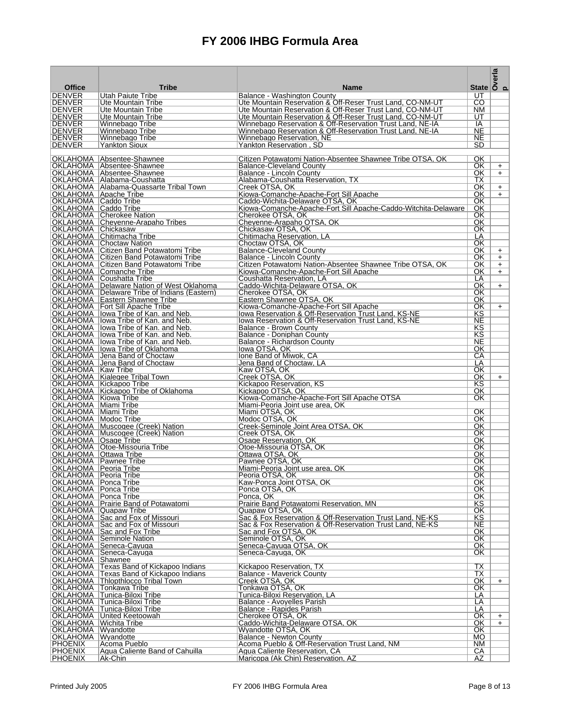| <b>Office</b>                                      | <b>Tribe</b>                                                                       | <b>Name</b>                                                                                                            | State $\overline{\smash{\big)}\,^{\text{max}}_{\text{out}}}$ |            |
|----------------------------------------------------|------------------------------------------------------------------------------------|------------------------------------------------------------------------------------------------------------------------|--------------------------------------------------------------|------------|
| <b>DENVER</b>                                      | Utah Paiute Tribe                                                                  | Balance - Washington County                                                                                            | UT                                                           |            |
| DENVER                                             | Ute Mountain Tribe                                                                 | Ute Mountain Reservation & Off-Reser Trust Land, CO-NM-UT                                                              | CO.                                                          |            |
| <b>DENVER</b><br><b>IDENVER</b>                    | Ute Mountain Tribe<br>Ute Mountain Tribe                                           | Ute Mountain Reservation & Off-Reser Trust Land, CO-NM-UT<br>Ute Mountain Reservation & Off-Reser Trust Land, CO-NM-UT | NM.<br>UT.                                                   |            |
| <b>DENVER</b>                                      | Winnebago Tribe                                                                    | Winnebago Reservation & Off-Reservation Trust Land, NE-IA                                                              | IA                                                           |            |
| <b>DENVER</b>                                      | Winnebago Tribe                                                                    | Winnebago Reservation & Off-Reservation Trust Land. NE-IA                                                              | <b>NE</b>                                                    |            |
| <b>DENVER</b>                                      | Winnebago Tribe                                                                    | Winnebago Reservation, NE                                                                                              | <b>NE</b>                                                    |            |
| <b>DENVER</b>                                      | Yankton Sioux                                                                      | Yankton Reservation, SD                                                                                                | <b>SD</b>                                                    |            |
|                                                    | OKLAHOMA Absentee-Shawnee                                                          | Citizen Potawatomi Nation-Absentee Shawnee Tribe OTSA, OK                                                              | OK                                                           |            |
|                                                    | OKLAHOMA Absentee-Shawnee                                                          | <b>Balance-Cleveland County</b>                                                                                        | OK.                                                          | $+$        |
|                                                    | OKLAHOMA   Absentee-Shawnee<br>OKLAHOMA   Alabama-Coushatta                        | Balance - Lincoln County<br>Alabama-Coushatta Reservation, TX                                                          | OK<br>ТX                                                     | $+$        |
|                                                    | OKLAHOMA   Alabama-Quassarte Tribal Town                                           | Creek OTSA, OK                                                                                                         | OK.                                                          | $+$        |
| OKLAHOMA   Apache Tribe                            |                                                                                    | Kiowa-Comanche-Apache-Fort Sill Apache                                                                                 | OK                                                           | $+$        |
| OKLAHOMA   Caddo Tribe<br>OKLAHOMA   Caddo Tribe   |                                                                                    | Caddo-Wichita-Delaware OTSA, OK<br>Kiowa-Comanche-Apache-Fort Sill Apache-Caddo-Witchita-Delaware                      | OK<br>OK.                                                    |            |
|                                                    | OKLAHOMA   Cherokee Nation                                                         | Cherokee OTSA, OK                                                                                                      | OK.                                                          |            |
|                                                    | OKLAHOMA Cheyenne-Arapaho Tribes                                                   | Cheyenne-Arapaho OTSA, OK                                                                                              | OK.                                                          |            |
| OKLAHOMA Chickasaw                                 | OKLAHOMA   Chitimacha Tribe                                                        | Chickasaw OTSA, OK<br>Chitimacha Reservation. LA                                                                       | OK.<br>LA                                                    |            |
|                                                    | OKLAHOMA   Choctaw Nation                                                          | Choctaw OTSA, OK                                                                                                       | OK                                                           |            |
|                                                    | OKLAHOMA   Citizen Band Potawatomi Tribe                                           | <b>Balance-Cleveland County</b>                                                                                        | OK.                                                          | $+$        |
|                                                    | <b>OKLAHOMA</b> Citizen Band Potawatomi Tribe                                      | Balance - Lincoln County                                                                                               | OK.                                                          | $+$        |
|                                                    | <b>OKLAHOMA</b> Citizen Band Potawatomi Tribe<br>OKLAHOMA   Comanche Tribe         | Citizen Potawatomi Nation-Absentee Shawnee Tribe OTSA, OK<br>Kiowa-Comanche-Apache-Fort Sill Apache                    | OK.<br>OK.                                                   | $+$<br>$+$ |
|                                                    | OKLAHOMA Coushatta Tribe                                                           | Coushatta Reservation, LA                                                                                              | LA                                                           |            |
|                                                    | OKLAHOMA   Delaware Nation of West Oklahoma                                        | Caddo-Wichita-Delaware OTSA, OK                                                                                        | OK.                                                          | $+$        |
|                                                    | OKLAHOMA   Delaware Tribe of Indians (Eastern)<br>OKLAHOMA   Eastern Shawnee Tribe | Cherokee OTSA, OK<br>Eastern Shawnee OTSA, OK                                                                          | OK.<br>OK.                                                   |            |
|                                                    | <b>OKLAHOMA</b>   Fort Sill Apache Tribe                                           | Kiowa-Comanche-Apache-Fort Sill Apache                                                                                 | OK                                                           | $+$        |
|                                                    | OKLAHOMA   lowa Tribe of Kan. and Neb.                                             | Iowa Reservation & Off-Reservation Trust Land, KS-NE                                                                   | ΚS                                                           |            |
|                                                    | OKLAHOMA llowa Tribe of Kan. and Neb.                                              | Iowa Reservation & Off-Reservation Trust Land, KS-NE                                                                   | <b>NE</b><br>ΚS                                              |            |
|                                                    | OKLAHOMA   lowa Tribe of Kan. and Neb.<br>OKLAHOMA   lowa Tribe of Kan. and Neb.   | Balance - Brown County<br>Balance - Doniphan County                                                                    | KS                                                           |            |
|                                                    | OKLAHOMA   lowa Tribe of Kan. and Neb.                                             | Balance - Richardson County                                                                                            | NE.                                                          |            |
|                                                    | OKLAHOMA  lowa Tribe of Oklahoma                                                   | lowa OTSA. OK                                                                                                          | OK.                                                          |            |
|                                                    | OKLAHOMA Jena Band of Choctaw<br>OKLAHOMA Jena Band of Choctaw                     | Ione Band of Miwok, CA<br>Jena Band of Choctaw, LA                                                                     | СA<br>LA                                                     |            |
| OKLAHOMA   Kaw Tribe                               |                                                                                    | Kaw OTSA, OK                                                                                                           | OK.                                                          |            |
|                                                    | OKLAHOMA   Kialegee Tribal Town                                                    | Creek OTSA, OK                                                                                                         | OK.                                                          | $+$        |
|                                                    | OKLAHOMA   Kickapoo Tribe<br>OKLAHOMA   Kickapoo Tribe of Oklahoma                 | Kickapoo Reservation, KS<br>Kickapoo OTSA. OK                                                                          | ΚS<br>OK.                                                    |            |
| OKLAHOMA   Kiowa Tribe                             |                                                                                    | Kiowa-Comanche-Apache-Fort Sill Apache OTSA                                                                            | OK.                                                          |            |
| OKLAHOMA   Miami Tribe                             |                                                                                    | Miami-Peoria Joint use area, OK                                                                                        |                                                              |            |
| OKLAHOMA   Miami Tribe<br>OKLAHOMA   Modoc Tribe   |                                                                                    | Miami OTSA, OK<br>Modoc OTSA, OK                                                                                       | OK<br>OK.                                                    |            |
|                                                    | OKLAHOMA   Muscogee (Creek) Nation                                                 | Creek-Seminole Joint Area OTSA, OK                                                                                     | OK.                                                          |            |
|                                                    | OKLAHOMA   Muscogee (Creek) Nation                                                 | Creek OTSA, OK                                                                                                         | OK                                                           |            |
| OKLAHOMA   Osage Tribe                             | OKLAHOMA   Otoe-Missouria Tribe                                                    | Osage Reservation, OK<br>Otoe-Missouria OTSA, OK                                                                       | OK.<br>OK                                                    |            |
| OKLAHOMA   Ottawa Tribe                            |                                                                                    | Ottawa OTSA, OK                                                                                                        | OK.                                                          |            |
|                                                    | OKLAHOMA  Pawnee Tribe                                                             | Pawnee OTSA, OK                                                                                                        | OK.                                                          |            |
| OKLAHOMA   Peoria Tribe<br>OKLAHOMA   Peoria Tribe |                                                                                    | Miami-Peoria Joint use area, OK<br>Peoria OTSA, OK                                                                     | OK<br>OK.                                                    |            |
| <b>OKLAHOMA</b> Ponca Tribe                        |                                                                                    | Kaw-Ponca Joint OTSA, OK                                                                                               | OK                                                           |            |
| OKLAHOMA   Ponca Tribe                             |                                                                                    | Ponca OTSA, OK                                                                                                         | OK                                                           |            |
| OKLAHOMA   Ponca Tribe                             | OKLAHOMA   Prairie Band of Potawatomi                                              | Ponca, OK<br>Prairie Band Potawatomi Reservation, MN                                                                   | OK<br>ΚS                                                     |            |
|                                                    | OKLAHOMA Quapaw Tribe                                                              | Quapaw OTSA, OK                                                                                                        | OK                                                           |            |
|                                                    | OKLAHOMA Sac and Fox of Missouri                                                   | Sac & Fox Reservation & Off-Reservation Trust Land, NE-KS                                                              | ΚS                                                           |            |
|                                                    | OKLAHOMA Sac and Fox of Missouri<br>OKLAHOMA Sac and Fox Tribe                     | Sac & Fox Reservation & Off-Reservation Trust Land, NE-KS<br>Sac and Fox OTSA, OK                                      | <b>NE</b><br>OK                                              |            |
|                                                    | OKLAHOMA Seminole Nation                                                           | Seminole OTSA, OK                                                                                                      | OK                                                           |            |
|                                                    | OKLAHOMA Seneca-Cayuga                                                             | Seneca-Cayuga OTSA, OK                                                                                                 | 0K                                                           |            |
| OKLAHOMA   Shawnee                                 | OKLAHOMA   Seneca-Cayuga                                                           | Seneca-Cayuga, OK                                                                                                      | OK                                                           |            |
|                                                    | OKLAHOMA Texas Band of Kickapoo Indians                                            | Kickapoo Reservation, TX                                                                                               | ТX                                                           |            |
|                                                    | OKLAHOMA Texas Band of Kickapoo Indians                                            | Balance - Maverick Countv                                                                                              | $\overline{\mathsf{TX}}$                                     |            |
|                                                    | OKLAHOMA Thlopthlocco Tribal Town<br>OKLAHOMA   Tonkawa Tribe                      | Creek OTSA, OK<br>Tonkawa OTSA, OK                                                                                     | OK<br>OK                                                     | $+$        |
|                                                    | OKLAHOMA Tunica-Biloxi Tribe                                                       | Tunica-Biloxi Reservation. LA                                                                                          | LA                                                           |            |
|                                                    | OKLAHOMA   Tunica-Biloxi Tribe                                                     | Balance - Avoyelles Parish                                                                                             | LA                                                           |            |
|                                                    | OKLAHOMA   Tunica-Biloxi Tribe<br>OKLAHOMA United Keetoowah                        | Balance - Rapides Parish                                                                                               | LA<br>$\overline{\text{OK}}$                                 |            |
| OKLAHOMA   Wichita Tribe                           |                                                                                    | Cherokee OTSA, OK<br>Caddo-Wichita-Delaware OTSA, OK                                                                   | OK                                                           | $+$<br>$+$ |
| OKLAHOMA Wyandotte                                 |                                                                                    | Wyandotte OTSA, OK                                                                                                     | OK                                                           |            |
| OKLAHOMA   Wyandotte                               |                                                                                    | Balance - Newton County                                                                                                | MO.                                                          |            |
| <b>PHOENIX</b><br><b>PHOENIX</b>                   | Acoma Pueblo<br>Agua Caliente Band of Cahuilla                                     | Acoma Pueblo & Off-Reservation Trust Land, NM<br>Agua Caliente Reservation, CA                                         | NM<br>СA                                                     |            |
| <b>PHOENIX</b>                                     | Ak-Chin                                                                            | Maricopa (Ak Chin) Reservation, AZ                                                                                     | ΑZ                                                           |            |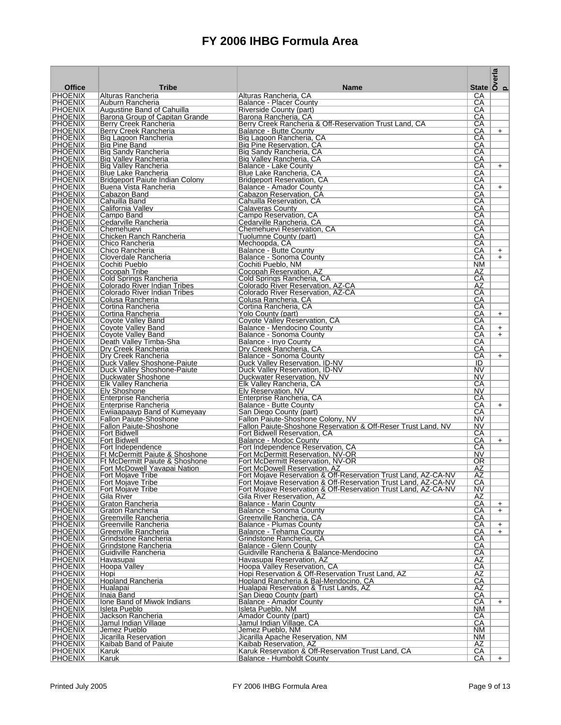|                                  |                                                                |                                                                                                                                  | State $\overline{\smash{\big)}\,^{\text{m}}_{\text{c}}$ |     |
|----------------------------------|----------------------------------------------------------------|----------------------------------------------------------------------------------------------------------------------------------|---------------------------------------------------------|-----|
| <b>Office</b><br><b>PHOENIX</b>  | <b>Tribe</b>                                                   | <b>Name</b><br>Alturas Rancheria. CA                                                                                             | СA                                                      |     |
| <b>PHOENIX</b>                   | Alturas Rancheria<br>Auburn Rancheria                          | Balance - Placer County                                                                                                          | СA                                                      |     |
| <b>PHOENIX</b>                   | Augustine Band of Cahuilla                                     | Riverside County (part)                                                                                                          | CА                                                      |     |
| <b>PHOENIX</b>                   | Barona Group of Capitan Grande                                 | Barona Rancheria, CA                                                                                                             | СA                                                      |     |
| <b>PHOENIX</b><br><b>PHOENIX</b> | Berry Creek Rancheria<br>Berry Creek Rancheria                 | Berry Creek Rancheria & Off-Reservation Trust Land, CA<br>Balance - Butte County                                                 | СA<br>СA                                                | $+$ |
| <b>PHOENIX</b>                   | Big Lagoon Rancheria                                           | Big Lagoon Rancheria, CA                                                                                                         | CА                                                      |     |
| <b>PHOENIX</b>                   | <b>Big Pine Band</b>                                           | Big Pine Reservation, CA                                                                                                         | СA                                                      |     |
| <b>PHOENIX</b>                   | Big Sandy Rancheria                                            | Big Sandy Rancheria, CA                                                                                                          | CА                                                      |     |
| <b>PHOENIX</b><br><b>PHOENIX</b> | <b>Big Valley Rancheria</b><br>Big Valley Rancheria            | Big Valley Rancheria, CA<br>Balance - Lake County                                                                                | СA<br>CА                                                | $+$ |
| <b>PHOENIX</b>                   | <b>Blue Lake Rancheria</b>                                     | Blue Lake Rancheria, CA                                                                                                          | СA                                                      |     |
| <b>PHOENIX</b>                   | Bridgeport Paiute Indian Colony                                | <b>Bridgeport Reservation, CA</b>                                                                                                | CА                                                      |     |
| <b>PHOENIX</b><br><b>PHOENIX</b> | Buena Vista Rancheria<br>Cabazon Band                          | Balance - Amador County<br>Cabazon Reservation, CA                                                                               | CА<br>СA                                                | $+$ |
| <b>PHOENIX</b>                   | Cahuilla Band                                                  | Cahuilla Reservation, CA                                                                                                         | CА                                                      |     |
| <b>PHOENIX</b>                   | California Valley                                              | Calaveras County                                                                                                                 | CА                                                      |     |
| <b>PHOENIX</b>                   | Campo Band                                                     | Campo Reservation, CA                                                                                                            | CА                                                      |     |
| <b>PHOENIX</b><br><b>PHOENIX</b> | Cedarville Rancheria<br>Chemehuevi                             | Cedarville Rancheria, CA<br>Chemehuevi Reservation, CA                                                                           | СA<br>CА                                                |     |
| <b>PHOENIX</b>                   | Chicken Ranch Rancheria                                        | Tuolumne County (part)                                                                                                           | CА                                                      |     |
| <b>PHOENIX</b>                   | Chico Rancheria                                                | Mechoopda, CA                                                                                                                    | CА                                                      |     |
| <b>PHOENIX</b><br><b>PHOENIX</b> | Chico Rancheria                                                | Balance - Butte County                                                                                                           | CА                                                      | $+$ |
| <b>PHOENIX</b>                   | Cloverdale Rancheria<br>Cochiti Pueblo                         | Balance - Sonoma County<br>Cochiti Pueblo, NM                                                                                    | СA<br><b>NM</b>                                         | $+$ |
| <b>PHOENIX</b>                   | Cocopah Tribe                                                  | Cocopah Reservation, AZ                                                                                                          | AZ                                                      |     |
| <b>PHOENIX</b>                   | Cold Springs Rancheria                                         | Cold Springs Rancheria. CA                                                                                                       | СA                                                      |     |
| <b>PHOENIX</b><br><b>PHOENIX</b> | Colorado River Indian Tribes<br>Colorado River Indian Tribes   | Colorado River Reservation, AZ-CA<br>Colorado River Reservation, AZ-CA                                                           | AZ<br>СA                                                |     |
| <b>PHOENIX</b>                   | Colusa Rancheria                                               | Colusa Rancheria, CA                                                                                                             | СA                                                      |     |
| <b>PHOENIX</b>                   | Cortina Rancheria                                              | Cortina Rancheria, CA                                                                                                            | СA                                                      |     |
| <b>PHOENIX</b>                   | Cortina Rancheria                                              | Yolo County (part)                                                                                                               | CА                                                      | $+$ |
| <b>PHOENIX</b><br><b>PHOENIX</b> | Coyote Valley Band<br>Coyote Valley Band                       | Coyote Valley Reservation, CA<br>Balance - Mendocino County                                                                      | СA<br>CА                                                | $+$ |
| <b>PHOENIX</b>                   | Coyote Valley Band                                             | Balance - Sonoma County                                                                                                          | СA                                                      | $+$ |
| <b>PHOENIX</b>                   | Death Valley Timba-Sha                                         | Balance - Inyo County                                                                                                            | CА                                                      |     |
| <b>PHOENIX</b>                   | Dry Creek Rancheria                                            | Dry Creek Rancheria, CA                                                                                                          | СA                                                      |     |
| <b>PHOENIX</b><br><b>PHOENIX</b> | Dry Creek Rancheria<br>Duck Valley Shoshone-Paiute             | Balance - Sonoma County<br>Duck Valley Reservation, ID-NV                                                                        | CА<br>ID                                                | $+$ |
| <b>PHOENIX</b>                   | Duck Valley Shoshone-Paiute                                    | Duck Valley Reservation, ID-NV                                                                                                   | NV                                                      |     |
| <b>PHOENIX</b>                   | Duckwater Shoshone                                             | Duckwater Reservation, NV                                                                                                        | NV                                                      |     |
| <b>PHOENIX</b><br><b>PHOENIX</b> | Elk Valley Rancheria<br>Ely Shoshone                           | Elk Valley Rancheria, CA<br>Elv Reservation, NV                                                                                  | CА<br>NV.                                               |     |
| <b>PHOENIX</b>                   | Enterprise Rancheria                                           | Enterprise Rancheria, CA                                                                                                         | СA                                                      |     |
| <b>PHOENIX</b>                   | Enterprise Rancheria                                           | Balance - Butte County                                                                                                           | CА                                                      | $+$ |
| <b>PHOENIX</b>                   | Ewilaapaayp Band of Kumeyaay                                   | San Diego County (part)                                                                                                          | СA                                                      |     |
| <b>PHOENIX</b><br><b>PHOENIX</b> | <b>Fallon Paiute-Shoshone</b><br><b>Fallon Paiute-Shoshone</b> | Fallon Paiute-Shoshone Colony, NV<br>Fallon Paiute-Shoshone Reservation & Off-Reser Trust Land, NV                               | NV<br>NV                                                |     |
| <b>PHOENIX</b>                   | <b>Fort Bidwell</b>                                            | Fort Bidwell Reservation, CA                                                                                                     | СA                                                      |     |
| <b>PHOENIX</b>                   | <b>Fort Bidwell</b>                                            | Balance - Modoc County                                                                                                           | CА                                                      | $+$ |
| <b>PHOENIX</b><br><b>PHOENIX</b> | Fort Independence<br>Ft McDermitt Paiute & Shoshone            | Fort Independence Reservation, CA<br>Fort McDermitt Reservation, NV-OR                                                           | СA<br><b>NV</b>                                         |     |
| <b>PHOENIX</b>                   | Ft McDermitt Paiute & Shoshone                                 | Fort McDermitt Reservation, NV-OR                                                                                                | 0R                                                      |     |
| <b>PHOENIX</b>                   | Fort McDowell Yavapai Nation                                   | Fort McDowell Reservation, AZ                                                                                                    | AΖ                                                      |     |
| <b>PHOENIX</b>                   | Fort Mojave Tribe                                              | Fort Mojave Reservation & Off-Reservation Trust Land, AZ-CA-NV                                                                   | AΖ                                                      |     |
| <b>PHOENIX</b><br><b>PHOENIX</b> | Fort Mojave Tribe<br><b>Fort Mojave Tribe</b>                  | Fort Mojave Reservation & Off-Reservation Trust Land, AZ-CA-NV<br>Fort Mojave Reservation & Off-Reservation Trust Land, AZ-CA-NV | СA<br>NV.                                               |     |
| <b>PHOENIX</b>                   | Gila River                                                     | Gila River Reservation, AZ                                                                                                       | AZ                                                      |     |
| <b>PHOENIX</b>                   | Graton Rancheria                                               | Balance - Marin County                                                                                                           | CА                                                      | $+$ |
| <b>PHOENIX</b><br><b>PHOENIX</b> | Graton Rancheria<br>Greenville Rancheria                       | Balance - Sonoma County                                                                                                          | CА<br>CА                                                | $+$ |
| <b>PHOENIX</b>                   | Greenville Rancheria                                           | Greenville Rancheria, CA<br><b>Balance - Plumas County</b>                                                                       | CА                                                      | $+$ |
| <b>PHOENIX</b>                   | Greenville Rancheria                                           | Balance - Tehama County                                                                                                          | CА                                                      | $+$ |
| <b>PHOENIX</b>                   | Grindstone Rancheria                                           | Grindstone Rancheria, CA                                                                                                         | CА                                                      |     |
| <b>PHOENIX</b><br><b>PHOENIX</b> | Grindstone Rancheria<br>Guidiville Rancheria                   | Balance - Glenn County<br>Guidiville Rancheria & Balance-Mendocino                                                               | CА<br>CА                                                |     |
| <b>PHOENIX</b>                   | Havasupai                                                      | Havasupai Reservation, AZ                                                                                                        | AΖ                                                      |     |
| <b>PHOENIX</b>                   | Hoopa Valley                                                   | Hoopa Valley Reservation, CA                                                                                                     | CA                                                      |     |
| <b>PHOENIX</b><br><b>PHOENIX</b> | Hopi                                                           | Hopi Reservation & Off-Reservation Trust Land, AZ                                                                                | AΖ                                                      |     |
| <b>PHOENIX</b>                   | <b>Hopland Rancheria</b><br>Hualapai                           | Hopland Rancheria & Bal-Mendocino, CA<br>Hualapai Reservation & Trust Lands, AZ                                                  | $\overline{CA}$<br><b>AΖ</b>                            |     |
| <b>PHOENIX</b>                   | Inaja Band                                                     | San Diego County (part)                                                                                                          | CA                                                      |     |
| <b>PHOENIX</b>                   | Ione Band of Miwok Indians                                     | Balance - Amador County                                                                                                          | CА                                                      | $+$ |
| <b>PHOENIX</b><br><b>PHOENIX</b> | Isleta Pueblo<br>Jackson Rancheria                             | Isleta Pueblo, NM<br>Amador County (part)                                                                                        | ΝM<br>СA                                                |     |
| <b>PHOENIX</b>                   | Jamul Indian Village                                           | Jamul Indian Village, CA                                                                                                         | CA                                                      |     |
| <b>PHOENIX</b>                   | Jemez Pueblo                                                   | Jemez Pueblo, NM                                                                                                                 | <b>NM</b>                                               |     |
| <b>PHOENIX</b>                   | Jicarilla Reservation                                          | Jicarilla Apache Reservation, NM                                                                                                 | NM                                                      |     |
| <b>PHOENIX</b><br><b>PHOENIX</b> | Kaibab Band of Paiute<br> Karuk                                | Kaibab Reservation, AZ<br>Karuk Reservation & Off-Reservation Trust Land, CA                                                     | AZ<br>$\overline{CA}$                                   |     |
| PHOENIX                          | Karuk                                                          | Balance - Humboldt County                                                                                                        | CА                                                      | $+$ |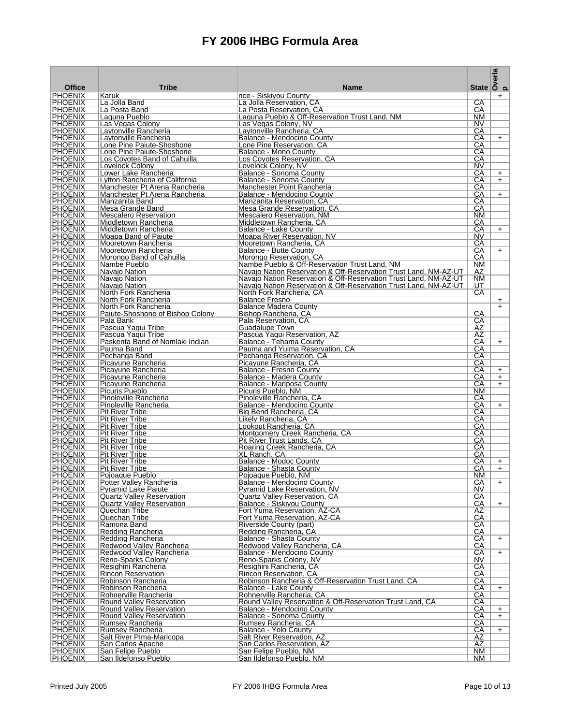| <b>Office</b>                    | <b>Tribe</b>                                              | <b>Name</b>                                                                                                                          | <b>State</b>                       | Overla<br>p |
|----------------------------------|-----------------------------------------------------------|--------------------------------------------------------------------------------------------------------------------------------------|------------------------------------|-------------|
| <b>PHOENIX</b>                   | Karuk                                                     | nce - Siskivou County                                                                                                                |                                    | $\ddot{}$   |
| <b>PHOENIX</b>                   | La Jolla Band                                             | La Jolla Reservation, CA                                                                                                             | СA                                 |             |
| <b>PHOENIX</b>                   | La Posta Band                                             | La Posta Reservation, CA                                                                                                             | СA                                 |             |
| <b>PHOENIX</b><br><b>PHOENIX</b> | Laguna Pueblo<br>Las Vegas Colony                         | Laguna Pueblo & Off-Reservation Trust Land, NM<br>Las Vegas Colony, NV                                                               | NM<br>NV.                          |             |
| <b>PHOENIX</b>                   | Laytonville Rancheria                                     | Laytonville Rancheria, CA                                                                                                            | CА                                 |             |
| <b>PHOENIX</b>                   | Laytonville Rancheria                                     | Balance - Mendocino County                                                                                                           | СA                                 | $+$         |
| <b>PHOENIX</b>                   | Lone Pine Paiute-Shoshone                                 | Lone Pine Reservation, CA                                                                                                            | СA                                 |             |
| <b>PHOENIX</b><br><b>PHOENIX</b> | Lone Pine Paiute-Shoshone<br>Los Coyotes Band of Cahuilla | Balance - Mono County<br>Los Coyotes Reservation, CA                                                                                 | СA<br>СA                           |             |
| <b>PHOENIX</b>                   | Lovelock Colony                                           | Lovelock Colony, NV                                                                                                                  | NV.                                |             |
| <b>PHOENIX</b>                   | Lower Lake Rancheria                                      | Balance - Sonoma County                                                                                                              | CА                                 | $+$         |
| <b>PHOENIX</b>                   | Lytton Rancheria of California                            | Balance - Sonoma County                                                                                                              | CА                                 | $+$         |
| <b>PHOENIX</b>                   | Manchester Pt Arena Rancheria                             | Manchester Point Rancheria                                                                                                           | CА                                 |             |
| <b>PHOENIX</b><br><b>PHOENIX</b> | Manchester Pt Arena Rancheria<br>Manzanita Band           | Balance - Mendocino County<br>Manzanita Reservation, CA                                                                              | СA<br>СA                           | $+$         |
| <b>PHOENIX</b>                   | Mesa Grande Band                                          | Mesa Grande Reservation, CA                                                                                                          | СA                                 |             |
| <b>PHOENIX</b>                   | <b>Mescalero Reservation</b>                              | Mescalero Reservation, NM                                                                                                            | NM                                 |             |
| <b>PHOENIX</b>                   | Middletown Rancheria                                      | Middletown Rancheria, CA                                                                                                             | CА                                 |             |
| <b>PHOENIX</b><br><b>PHOENIX</b> | Middletown Rancheria<br>Moapa Band of Paiute              | Balance - Lake County<br>Moapa River Reservation, NV                                                                                 | CА<br>NV                           | $+$         |
| <b>PHOENIX</b>                   | Mooretown Rancheria                                       | Mooretown Rancheria, CA                                                                                                              | СA                                 |             |
| <b>PHOENIX</b>                   | Mooretown Rancheria                                       | Balance - Butte County                                                                                                               | СA                                 | $+$         |
| <b>PHOENIX</b>                   | Morongo Band of Cahuilla                                  | Morongo Reservation, CA                                                                                                              | СA                                 |             |
| <b>PHOENIX</b><br><b>PHOENIX</b> | Nambe Pueblo                                              | Nambe Pueblo & Off-Reservation Trust Land, NM                                                                                        | NM                                 |             |
| <b>PHOENIX</b>                   | Navajo Nation<br>Navajo Nation                            | Navajo Nation Reservation & Off-Reservation Trust Land, NM-AZ-UT<br>Navajo Nation Reservation & Off-Reservation Trust Land, NM-AZ-UT | AZ<br>NM.                          |             |
| <b>PHOENIX</b>                   | Navajo Nation                                             | Navajo Nation Reservation & Off-Reservation Trust Land, NM-AZ-UT                                                                     | UT                                 |             |
| <b>PHOENIX</b>                   | North Fork Rancheria                                      | North Fork Rancheria, CA                                                                                                             | СA                                 |             |
| <b>PHOENIX</b>                   | North Fork Rancheria                                      | <b>Balance Fresno</b>                                                                                                                |                                    | $+$         |
| <b>PHOENIX</b>                   | North Fork Rancheria                                      | <b>Balance Madera County</b>                                                                                                         |                                    | $+$         |
| <b>PHOENIX</b><br><b>PHOENIX</b> | Paiute-Shoshone of Bishop Colony<br>Pala Bank             | Bishop Rancheria, CA<br>Pala Reservation, CA                                                                                         | СA<br>CA                           |             |
| <b>PHOENIX</b>                   | Pascua Yaqui Tribe                                        | Guadalupe Town                                                                                                                       | AZ                                 |             |
| <b>PHOENIX</b>                   | Pascua Yaqui Tribe                                        | Pascua Yaqui Reservation, AZ                                                                                                         | AZ                                 |             |
| <b>PHOENIX</b>                   | Paskenta Band of Nomlaki Indian                           | Balance - Tehama County                                                                                                              | СA                                 | $+$         |
| <b>PHOENIX</b>                   | Pauma Band                                                | Pauma and Yuima Reservation, CA                                                                                                      | CА                                 |             |
| <b>PHOENIX</b><br><b>PHOENIX</b> | Pechanga Band<br>Picayune Rancheria                       | Pechanga Reservation, CA<br>Picavune Rancheria. CA                                                                                   | CА<br>CА                           |             |
| <b>PHOENIX</b>                   | Picayune Rancheria                                        | Balance - Fresno County                                                                                                              | СA                                 | $+$         |
| <b>PHOENIX</b>                   | Picayune Rancheria                                        | Balance - Madera County                                                                                                              | СA                                 | $\ddot{}$   |
| <b>PHOENIX</b>                   | Picayune Rancheria                                        | Balance - Mariposa County                                                                                                            | СA                                 | $+$         |
| <b>PHOENIX</b><br><b>PHOENIX</b> | Picuris Pueblo                                            | Picuris Pueblo, NM                                                                                                                   | NM                                 |             |
| PHOENIX                          | Pinoleville Rancheria<br>Pinoleville Rancheria            | Pinoleville Rancheria, CA<br>Balance - Mendocino County                                                                              | CА<br>CА                           | $+$         |
| <b>PHOENIX</b>                   | Pit River Tribe                                           | Big Bend Rancheria, CA                                                                                                               | CА                                 |             |
| <b>PHOENIX</b>                   | <b>Pit River Tribe</b>                                    | Likely Rancheria, CA                                                                                                                 | СA                                 |             |
| <b>PHOENIX</b>                   | <b>Pit River Tribe</b>                                    | Lookout Rancheria. CA                                                                                                                | СA                                 |             |
| <b>PHOENIX</b><br><b>PHOENIX</b> | <b>Pit River Tribe</b><br><b>Pit River Tribe</b>          | Montgomery Creek Rancheria, CA<br>Pit River Trust Lands, CA                                                                          | СA<br>СA                           |             |
| <b>PHOENIX</b>                   | <b>Pit River Tribe</b>                                    | Roaring Creek Rancheria, CA                                                                                                          | CА                                 |             |
| <b>PHOENIX</b>                   | <b>Pit River Tribe</b>                                    | XL Ranch, CA                                                                                                                         | CА                                 |             |
| <b>PHOENIX</b>                   | <b>Pit River Tribe</b>                                    | Balance - Modoc County                                                                                                               | CА                                 | $+$         |
| <b>PHOENIX</b><br>PHOENIX        | <b>Pit River Tribe</b><br>Poioague Pueblo                 | Balance - Shasta County                                                                                                              | CА<br>NM                           | $\ddot{}$   |
| <b>PHOENIX</b>                   | Potter Valley Rancheria                                   | Poioague Pueblo, NM<br>Balance - Mendocino County                                                                                    | CA                                 | $+$         |
| <b>PHOENIX</b>                   | <b>Pyramid Lake Paiute</b>                                | <b>Pyramid Lake Reservation, NV</b>                                                                                                  | <b>NV</b>                          |             |
| <b>PHOENIX</b>                   | <b>Quartz Valley Reservation</b>                          | Quartz Valley Reservation, CA                                                                                                        | СA                                 |             |
| <b>PHOENIX</b>                   | <b>Quartz Valley Reservation</b>                          | Balance - Siskiyou County                                                                                                            | СA                                 | $+$         |
| <b>PHOENIX</b><br><b>PHOENIX</b> | Quechan Tribe<br>Quechan Tribe                            | Fort Yuma Reservation, AZ-CA<br>Fort Yuma Reservation, AZ-CA                                                                         | $\overline{AZ}$<br>$\overline{CA}$ |             |
| <b>PHOENIX</b>                   | Ramona Band                                               | Riverside County (part)                                                                                                              | CА                                 |             |
| <b>PHOENIX</b>                   | Redding Rancheria                                         | Redding Rancheria, CA                                                                                                                | СA                                 |             |
| <b>PHOENIX</b>                   | Redding Rancheria                                         | Balance - Shasta County                                                                                                              | СA                                 | $+$         |
| <b>PHOENIX</b><br><b>PHOENIX</b> | Redwood Valley Rancheria                                  | Redwood Valley Rancheria, CA<br>Balance - Mendocino County                                                                           | СA                                 |             |
| <b>PHOENIX</b>                   | Redwood Valley Rancheria<br>Reno-Sparks Colony            | Reno-Sparks Colony, NV                                                                                                               | СA<br>NV                           | $+$         |
| <b>PHOENIX</b>                   | Resighini Rancheria                                       | Resighini Rancheria, CA                                                                                                              | СA                                 |             |
| <b>PHOENIX</b>                   | Rincon Reservation                                        | Rincon Reservation, CA                                                                                                               | $\overline{CA}$                    |             |
| <b>PHOENIX</b>                   | Robinson Rancheria                                        | Robinson Rancheria & Off-Reservation Trust Land, CA                                                                                  | СA                                 |             |
| <b>PHOENIX</b><br><b>PHOENIX</b> | Robinson Rancheria<br>Rohnerville Rancheria               | Balance - Lake County<br>Rohnerville Rancheria, CA                                                                                   | СA<br>СA                           | $+$         |
| <b>PHOENIX</b>                   | <b>Round Valley Reservation</b>                           | Round Valley Reservation & Off-Reservation Trust Land, CA                                                                            | СA                                 |             |
| <b>PHOENIX</b>                   | Round Valley Reservation                                  | Balance - Mendocino County                                                                                                           | CA                                 | $+$         |
| <b>PHOENIX</b>                   | <b>Round Valley Reservation</b>                           | Balance - Sonoma County                                                                                                              | CA                                 | $+$         |
| <b>PHOENIX</b><br><b>PHOENIX</b> | Rumsey Rancheria                                          | Rumsey Rancheria, CA                                                                                                                 | СA                                 |             |
| <b>PHOENIX</b>                   | Rumsey Rancheria<br>Salt River Plma-Maricopa              | Balance - Yolo County<br>Salt River Reservation, AZ                                                                                  | СA<br><b>AZ</b>                    | $+$         |
| <b>PHOENIX</b>                   | San Carlos Apache                                         | San Carlos Reservation, AZ                                                                                                           | AZ                                 |             |
| <b>PHOENIX</b>                   | San Felipe Pueblo                                         | San Felipe Pueblo, NM                                                                                                                | NM                                 |             |
| <b>PHOENIX</b>                   | San Ildefonso Pueblo                                      | San Ildefonso Pueblo, NM                                                                                                             | NM                                 |             |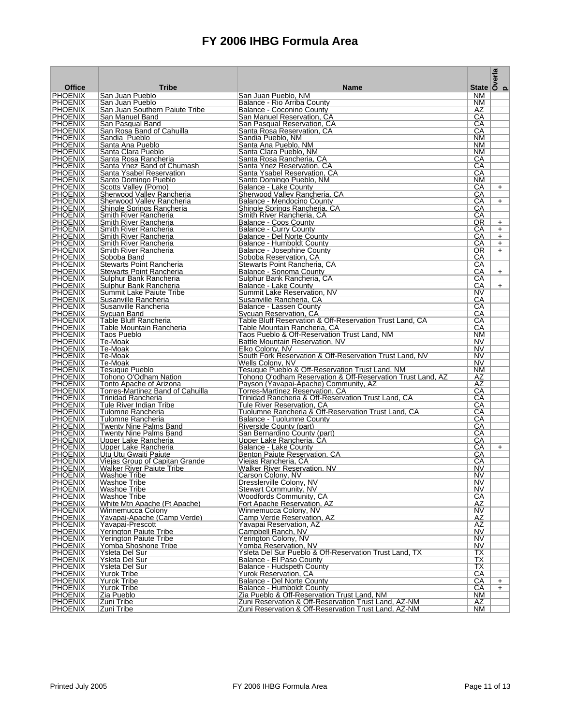| <b>Office</b>                    | <b>Tribe</b>                                            | <b>Name</b>                                                                       |                                | State $\overline{\overset{a}{\underset{c}{\text{S}}}}$ |
|----------------------------------|---------------------------------------------------------|-----------------------------------------------------------------------------------|--------------------------------|--------------------------------------------------------|
| <b>PHOENIX</b>                   | San Juan Pueblo                                         | San Juan Pueblo, NM                                                               | <b>NM</b>                      |                                                        |
| <b>PHOENIX</b>                   | San Juan Pueblo                                         | Balance - Rio Arriba County                                                       | NM.                            |                                                        |
| <b>PHOENIX</b>                   | San Juan Southern Paiute Tribe                          | Balance - Coconino County                                                         | AZ                             |                                                        |
| <b>PHOENIX</b>                   | San Manuel Band                                         | San Manuel Reservation, CA                                                        | СA<br>СA                       |                                                        |
| <b>PHOENIX</b><br><b>PHOENIX</b> | San Pasqual Band<br>San Rosa Band of Cahuilla           | San Pasqual Reservation, CA<br>Santa Rosa Reservation, CA                         | СA                             |                                                        |
| <b>PHOENIX</b>                   | Sandia Pueblo                                           | Sandia Pueblo, NM                                                                 | NM.                            |                                                        |
| <b>PHOENIX</b>                   | Santa Ana Pueblo                                        | Santa Ana Pueblo, NM                                                              | <b>NM</b>                      |                                                        |
| <b>PHOENIX</b>                   | Santa Clara Pueblo                                      | Santa Clara Pueblo, NM                                                            | NM.                            |                                                        |
| <b>PHOENIX</b>                   | Santa Rosa Rancheria                                    | Santa Rosa Rancheria, CA                                                          | CА                             |                                                        |
| <b>PHOENIX</b>                   | Santa Ynez Band of Chumash                              | Santa Ynez Reservation, CA                                                        | СA                             |                                                        |
| <b>PHOENIX</b><br><b>PHOENIX</b> | Santa Ysabel Reservation<br>Santo Domingo Pueblo        | Santa Ysabel Reservation, CA<br>Santo Domingo Pueblo, NM                          | CА<br>NM.                      |                                                        |
| <b>PHOENIX</b>                   | Scotts Valley (Pomo)                                    | Balance - Lake County                                                             | СA                             | $+$                                                    |
| <b>PHOENIX</b>                   | Sherwood Valley Rancheria                               | Sherwood Valley Rancheria, CA                                                     | CА                             |                                                        |
| <b>PHOENIX</b>                   | Sherwood Valley Rancheria                               | Balance - Mendocino County                                                        | CА                             | $+$                                                    |
| <b>PHOENIX</b>                   | Shingle Springs Rancheria                               | Shingle Springs Rancheria, CA                                                     | CА                             |                                                        |
| <b>PHOENIX</b>                   | Smith River Rancheria                                   | Smith River Rancheria, CA                                                         | CА                             |                                                        |
| <b>PHOENIX</b>                   | Smith River Rancheria                                   | Balance - Coos County                                                             | OR                             | $+$                                                    |
| <b>PHOENIX</b><br><b>PHOENIX</b> | Smith River Rancheria<br>Smith River Rancheria          | <b>Balance - Curry County</b><br>Balance - Del Norte County                       | CА<br>СA                       | $+$                                                    |
| <b>PHOENIX</b>                   | Smith River Rancheria                                   | Balance - Humboldt County                                                         | CА                             | $+$<br>$+$                                             |
| <b>PHOENIX</b>                   | Smith River Rancheria                                   | Balance - Josephine County                                                        | 0R                             | $+$                                                    |
| <b>PHOENIX</b>                   | Soboba Band                                             | Soboba Reservation, CA                                                            | CA                             |                                                        |
| <b>PHOENIX</b>                   | Stewarts Point Rancheria                                | Stewarts Point Rancheria, CA                                                      | CА                             |                                                        |
| <b>PHOENIX</b>                   | Stewarts Point Rancheria                                | Balance - Sonoma County                                                           | CА                             | $+$                                                    |
| <b>PHOENIX</b>                   | Sulphur Bank Rancheria                                  | Sulphur Bank Rancheria, CA                                                        | CА                             |                                                        |
| <b>PHOENIX</b><br><b>PHOENIX</b> | Sulphur Bank Rancheria                                  | Balance - Lake County<br>Summit Lake Reservation, NV                              | CА                             | $+$                                                    |
| <b>PHOENIX</b>                   | Summit Lake Paiute Tribe<br>Susanville Rancheria        | Susanville Rancheria, CA                                                          | NV<br>СA                       |                                                        |
| <b>PHOENIX</b>                   | Susanville Rancheria                                    | Balance - Lassen County                                                           | СA                             |                                                        |
| <b>PHOENIX</b>                   | Sycuan Band                                             | Sycuan Reservation, CA                                                            | CA                             |                                                        |
| <b>PHOENIX</b>                   | <b>Table Bluff Rancheria</b>                            | Table Bluff Reservation & Off-Reservation Trust Land, CA                          | CА                             |                                                        |
| <b>PHOENIX</b>                   | Table Mountain Rancheria                                | Table Mountain Rancheria, CA                                                      | СA                             |                                                        |
| <b>PHOENIX</b>                   | Taos Pueblo                                             | Taos Pueblo & Off-Reservation Trust Land, NM                                      | NM                             |                                                        |
| <b>PHOENIX</b><br><b>PHOENIX</b> | Te-Moak<br>Te-Moak                                      | Battle Mountain Reservation, NV<br>Elko Colony, NV                                | NV<br>NV                       |                                                        |
| <b>PHOENIX</b>                   | Te-Moak                                                 | South Fork Reservation & Off-Reservation Trust Land, NV                           | NV                             |                                                        |
| <b>PHOENIX</b>                   | Te-Moak                                                 | Wells Colony, NV                                                                  | <b>NV</b>                      |                                                        |
| <b>PHOENIX</b>                   | <b>Tesuque Pueblo</b>                                   | Tesuque Pueblo & Off-Reservation Trust Land, NM                                   | NM.                            |                                                        |
| <b>PHOENIX</b>                   | Tohono O'Odham Nation                                   | Tohono O'odham Reservation & Off-Reservation Trust Land, AZ                       | AZ                             |                                                        |
| <b>PHOENIX</b>                   | Tonto Apache of Arizona                                 | Payson (Yavapai-Apache) Community, AZ                                             | AΖ                             |                                                        |
| <b>PHOENIX</b>                   | Torres-Martinez Band of Cahuilla                        | Torres-Martinez Reservation, CA                                                   | СA                             |                                                        |
| <b>PHOENIX</b><br><b>PHOENIX</b> | Trinidad Rancheria<br>Tule River Indian Tribe           | Trinidad Rancheria & Off-Reservation Trust Land, CA<br>Tule River Reservation, CA | CА<br>СA                       |                                                        |
| <b>PHOENIX</b>                   | Tulomne Rancheria                                       | Tuolumne Rancheria & Off-Reservation Trust Land, CA                               | СA                             |                                                        |
| <b>PHOENIX</b>                   | Tulomne Rancheria                                       | Balance - Tuolumne County                                                         | СA                             |                                                        |
| <b>PHOENIX</b>                   | <b>Twenty Nine Palms Band</b>                           | Riverside County (part)                                                           | CА                             |                                                        |
| <b>PHOENIX</b>                   | <b>Twenty Nine Palms Band</b>                           | San Bernardino County (part)                                                      | CА                             |                                                        |
| <b>PHOENIX</b>                   | Upper Lake Rancheria                                    | Upper Lake Rancheria, CA                                                          | СA                             |                                                        |
| <b>PHOENIX</b>                   | Upper Lake Rancheria                                    | Balance - Lake County                                                             | СA                             | $+$                                                    |
| <b>PHOENIX</b><br><b>PHOENIX</b> | Utu Utu Gwaiti Paiute<br>Vieias Group of Capitan Grande | Benton Paiute Reservation, CA<br>Viejas Rancheria, CA                             | CА<br>CА                       |                                                        |
| <b>PHOENIX</b>                   | <b>Walker River Paiute Tribe</b>                        | Walker River Reservation, NV                                                      | NV                             |                                                        |
| <b>PHOENIX</b>                   | Washoe Tribe                                            | Carson Colony, NV                                                                 | NV.                            |                                                        |
| <b>PHOENIX</b>                   | <b>Washoe Tribe</b>                                     | Dresslerville Colony, NV                                                          | NV                             |                                                        |
| <b>PHOENIX</b>                   | Washoe Tribe                                            | Stewart Community, NV                                                             | NV.                            |                                                        |
| <b>PHOENIX</b>                   | Washoe Tribe                                            | <b>Woodfords Community, CA</b>                                                    | $\overline{CA}$                |                                                        |
| <b>PHOENIX</b><br><b>PHOENIX</b> | White Mtn Apache (Ft Apache)<br>Winnemucca Colony       | Fort Apache Reservation, AZ<br>Winnemucca Colony, NV                              | AΖ<br>NV                       |                                                        |
| <b>PHOENIX</b>                   | Yavapai-Apache (Camp Verde)                             | Camp Verde Reservation, AZ                                                        | AZ                             |                                                        |
| <b>PHOENIX</b>                   | Yavapai-Prescott                                        | Yavapai Reservation, AZ                                                           | AΖ                             |                                                        |
| <b>PHOENIX</b>                   | Yerington Paiute Tribe                                  | Campbell Ranch, NV                                                                | NV                             |                                                        |
| <b>PHOENIX</b>                   | <b>Yerington Paiute Tribe</b>                           | Yerington Colony, NV                                                              | NV                             |                                                        |
| <b>PHOENIX</b>                   | Yomba Shoshone Tribe                                    | Yomba Reservation, NV                                                             | NV                             |                                                        |
| <b>PHOENIX</b>                   | Ysleta Del Sur                                          | Ysleta Del Sur Pueblo & Off-Reservation Trust Land, TX                            | ТX                             |                                                        |
| <b>PHOENIX</b><br><b>PHOENIX</b> | <b>Ysleta Del Sur</b><br>Ysleta Del Sur                 | Balance - El Paso County                                                          | $\overline{\mathsf{TX}}$<br>ТX |                                                        |
| <b>PHOENIX</b>                   | <b>Yurok Tribe</b>                                      | Balance - Hudspeth County<br><b>Yurok Reservation, CA</b>                         | СA                             |                                                        |
| <b>PHOENIX</b>                   | <b>Yurok Tribe</b>                                      | <b>Balance - Del Norte County</b>                                                 | СA                             | $+$                                                    |
| <b>PHOENIX</b>                   | <b>Yurok Tribe</b>                                      | Balance - Humboldt County                                                         | СA                             | $+$                                                    |
| <b>PHOENIX</b>                   | Zia Pueblo                                              | Zia Pueblo & Off-Reservation Trust Land, NM                                       | <b>NM</b>                      |                                                        |
| <b>PHOENIX</b>                   | Zuni Tribe                                              | Zuni Reservation & Off-Reservation Trust Land, AZ-NM                              | AZ                             |                                                        |
| <b>PHOENIX</b>                   | Zuni Tribe                                              | Zuni Reservation & Off-Reservation Trust Land, AZ-NM                              | <b>NM</b>                      |                                                        |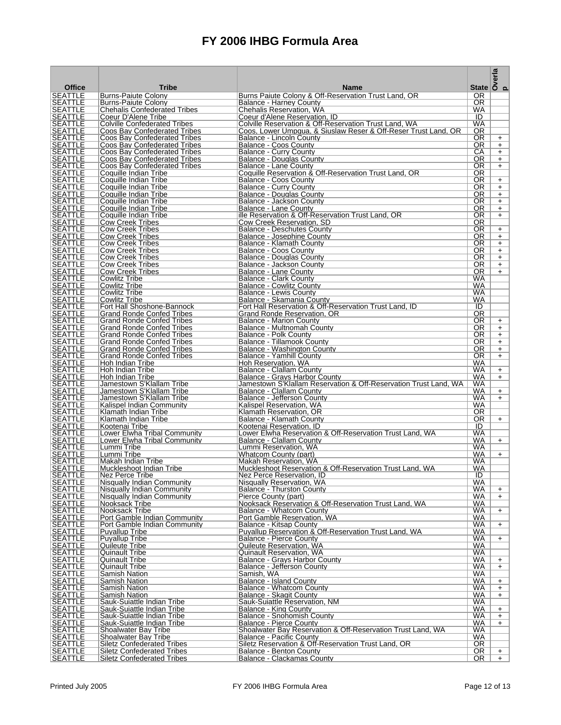|                                  |                                                                      |                                                                                                                         | State $\begin{vmatrix} \frac{\pi}{6} \\ \frac{\pi}{6} \\ \frac{\pi}{6} \\ \frac{\pi}{6} \end{vmatrix}$ |                  |
|----------------------------------|----------------------------------------------------------------------|-------------------------------------------------------------------------------------------------------------------------|--------------------------------------------------------------------------------------------------------|------------------|
| <b>Office</b>                    | <b>Tribe</b>                                                         | <b>Name</b>                                                                                                             |                                                                                                        |                  |
| <b>SEATTLE</b><br><b>SEATTLE</b> | <b>Burns-Paiute Colony</b><br><b>Burns-Paiute Colony</b>             | Burns Paiute Colony & Off-Reservation Trust Land, OR<br><b>Balance - Harney County</b>                                  | OR.<br>OR.                                                                                             |                  |
| <b>SEATTLE</b>                   | <b>Chehalis Confederated Tribes</b>                                  | Chehalis Reservation, WA                                                                                                | WA                                                                                                     |                  |
| <b>SEATTLE</b>                   | Coeur D'Alene Tribe                                                  | Coeur d'Alene Reservation, ID                                                                                           | ID                                                                                                     |                  |
| <b>SEATTLE</b><br><b>SEATTLE</b> | <b>Colville Confederated Tribes</b><br>Coos Bay Confederated Tribes  | Colville Reservation & Off-Reservation Trust Land, WA<br>Coos, Lower Umpqua, & Siuslaw Reser & Off-Reser Trust Land, OR | WA<br>0R                                                                                               |                  |
| <b>SEATTLE</b>                   | Coos Bay Confederated Tribes                                         | <b>Balance - Lincoln County</b>                                                                                         | OR.                                                                                                    | $+$              |
| <b>SEATTLE</b>                   | Coos Bay Confederated Tribes                                         | <b>Balance - Coos County</b>                                                                                            | 0R                                                                                                     | $+$              |
| <b>SEATTLE</b>                   | Coos Bay Confederated Tribes                                         | Balance - Curry County                                                                                                  | СA                                                                                                     | $+$              |
| <b>SEATTLE</b>                   | Coos Bay Confederated Tribes                                         | Balance - Douglas County                                                                                                | OR.<br>OR.                                                                                             | $+$              |
| <b>SEATTLE</b><br><b>SEATTLE</b> | Coos Bay Confederated Tribes<br>Coquille Indian Tribe                | Balance - Lane County<br>Coquille Reservation & Off-Reservation Trust Land, OR                                          | 0R                                                                                                     | $+$              |
| <b>SEATTLE</b>                   | Coquille Indian Tribe                                                | Balance - Coos County                                                                                                   | OR.                                                                                                    | $+$              |
| <b>SEATTLE</b>                   | Coquille Indian Tribe                                                | <b>Balance - Curry County</b>                                                                                           | 0R                                                                                                     | $+$              |
| <b>SEATTLE</b><br><b>SEATTLE</b> | Coquille Indian Tribe<br>Coquille Indian Tribe                       | Balance - Douglas County<br>Balance - Jackson County                                                                    | OR.<br>0R                                                                                              | $+$<br>$+$       |
| <b>SEATTLE</b>                   | Coquille Indian Tribe                                                | Balance - Lane County                                                                                                   | OR.                                                                                                    | $+$              |
| <b>SEATTLE</b>                   | Coquille Indian Tribe                                                | ille Reservation & Off-Reservation Trust Land, OR                                                                       | 0R                                                                                                     | $+$              |
| <b>SEATTLE</b>                   | <b>Cow Creek Tribes</b>                                              | Cow Creek Reservation, SD                                                                                               | OR.                                                                                                    |                  |
| <b>SEATTLE</b><br>SEATTLE        | <b>Cow Creek Tribes</b><br><b>Cow Creek Tribes</b>                   | <b>Balance - Deschutes County</b><br>Balance - Josephine County                                                         | 0R<br>OR.                                                                                              | $+$<br>$+$       |
| <b>SEATTLE</b>                   | <b>Cow Creek Tribes</b>                                              | Balance - Klamath County                                                                                                | OR.                                                                                                    | $+$              |
| <b>SEATTLE</b>                   | <b>Cow Creek Tribes</b>                                              | <b>Balance - Coos County</b>                                                                                            | 0R                                                                                                     | $+$              |
| <b>SEATTLE</b>                   | <b>Cow Creek Tribes</b>                                              | <b>Balance - Douglas County</b>                                                                                         | <b>OR</b>                                                                                              | $+$              |
| <b>SEATTLE</b><br><b>SEATTLE</b> | <b>Cow Creek Tribes</b><br><b>Cow Creek Tribes</b>                   | Balance - Jackson County<br>Balance - Lane County                                                                       | 0R<br>OR.                                                                                              | $+$<br>$+$       |
| <b>SEATTLE</b>                   | Cowlitz Tribe                                                        | <b>Balance - Clark County</b>                                                                                           | WA                                                                                                     |                  |
| <b>SEATTLE</b>                   | Cowlitz Tribe                                                        | <b>Balance - Cowlitz County</b>                                                                                         | WA                                                                                                     |                  |
| <b>SEATTLE</b>                   | Cowlitz Tribe                                                        | Balance - Lewis County                                                                                                  | <b>WA</b>                                                                                              |                  |
| <b>SEATTLE</b><br><b>SEATTLE</b> | <b>Cowlitz Tribe</b><br>Fort Hall Shoshone-Bannock                   | Balance - Skamania County<br>Fort Hall Reservation & Off-Reservation Trust Land, ID                                     | WA<br>ID                                                                                               |                  |
| <b>SEATTLE</b>                   | <b>Grand Ronde Confed Tribes</b>                                     | Grand Ronde Reservation, OR                                                                                             | 0R                                                                                                     |                  |
| <b>SEATTLE</b>                   | <b>Grand Ronde Confed Tribes</b>                                     | Balance - Marion County                                                                                                 | 0R                                                                                                     | $+$              |
| <b>SEATTLE</b>                   | <b>Grand Ronde Confed Tribes</b>                                     | Balance - Multnomah County                                                                                              | 0R                                                                                                     | $+$              |
| <b>SEATTLE</b><br><b>SEATTLE</b> | <b>Grand Ronde Confed Tribes</b><br><b>Grand Ronde Confed Tribes</b> | Balance - Polk County<br>Balance - Tillamook County                                                                     | OR.<br>OR.                                                                                             | $\ddot{}$<br>$+$ |
| <b>SEATTLE</b>                   | <b>Grand Ronde Confed Tribes</b>                                     | <b>Balance - Washington County</b>                                                                                      | 0R                                                                                                     | $+$              |
| <b>SEATTLE</b>                   | <b>Grand Ronde Confed Tribes</b>                                     | <b>Balance - Yamhill County</b>                                                                                         | OR.                                                                                                    | $+$              |
| <b>SEATTLE</b>                   | Hoh Indian Tribe                                                     | Hoh Reservation, WA                                                                                                     | WA                                                                                                     |                  |
| <b>SEATTLE</b><br><b>SEATTLE</b> | Hoh Indian Tribe<br>Hoh Indian Tribe                                 | Balance - Clallam County<br>Balance - Grays Harbor County                                                               | WA<br>WA                                                                                               | $+$<br>$+$       |
| <b>SEATTLE</b>                   | Jamestown S'Klallam Tribe                                            | Jamestown S'Klallam Reservation & Off-Reservation Trust Land, WA                                                        | WA                                                                                                     |                  |
| <b>SEATTLE</b>                   | Jamestown S'Klallam Tribe                                            | Balance - Clallam County                                                                                                | WA                                                                                                     | $+$              |
| <b>SEATTLE</b>                   | Jamestown S'Klallam Tribe                                            | Balance - Jefferson County                                                                                              | <b>WA</b>                                                                                              | $+$              |
| <b>SEATTLE</b><br><b>SEATTLE</b> | Kalispel Indian Community<br>Klamath Indian Tribe                    | Kalispel Reservation, WA<br>Klamath Reservation, OR                                                                     | WA<br>0R                                                                                               |                  |
| <b>SEATTLE</b>                   | Klamath Indian Tribe                                                 | Balance - Klamath County                                                                                                | 0R                                                                                                     | $+$              |
| <b>SEATTLE</b>                   | Kootenai Tribe                                                       | Kootenai Reservation, ID                                                                                                | ID                                                                                                     |                  |
| <b>SEATTLE</b><br><b>SEATTLE</b> | Lower Elwha Tribal Community<br>Lower Elwha Tribal Community         | Lower Elwha Reservation & Off-Reservation Trust Land, WA                                                                | <b>WA</b><br>WA                                                                                        | $+$              |
| <b>SEATTLE</b>                   | Lummi Tribe                                                          | Balance - Clallam County<br>Lummi Reservation, WA                                                                       | <b>WA</b>                                                                                              |                  |
| <b>SEATTLE</b>                   | Lummi Tribe                                                          | Whatcom County (part)                                                                                                   | WA                                                                                                     | $+$              |
| <b>SEATTLE</b>                   | Makah Indian Tribe                                                   | Makah Reservation, WA                                                                                                   | WA                                                                                                     |                  |
| <b>SEATTLE</b><br><b>SEATTLE</b> | Muckleshoot Indian Tribe<br>Nez Perce Tribe                          | Muckleshoot Reservation & Off-Reservation Trust Land, WA                                                                | WA<br>ID                                                                                               |                  |
| <b>SEATTLE</b>                   | Nisqually Indian Community                                           | Nez Perce Reservation, ID<br><b>Nisqually Reservation, WA</b>                                                           | <b>WA</b>                                                                                              |                  |
| <b>SEATTLE</b>                   | Nisqually Indian Community                                           | Balance - Thurston County                                                                                               | WA                                                                                                     | $+$              |
| <b>SEATTLE</b>                   | Nisqually Indian Community                                           | Pierce County (part)                                                                                                    | <b>WA</b>                                                                                              | $+$              |
| <b>SEATTLE</b><br><b>SEATTLE</b> | Nooksack Tribe<br>Nooksack Tribe                                     | Nooksack Reservation & Off-Reservation Trust Land, WA<br><b>Balance - Whatcom County</b>                                | WA<br>WA                                                                                               | $+$              |
| <b>SEATTLE</b>                   | Port Gamble Indian Community                                         | Port Gamble Reservation, WA                                                                                             | WA                                                                                                     |                  |
| <b>SEATTLE</b>                   | Port Gamble Indian Community                                         | Balance - Kitsap County                                                                                                 | <b>WA</b>                                                                                              | $+$              |
| <b>SEATTLE</b>                   | <b>Puyallup Tribe</b>                                                | Puyallup Reservation & Off-Reservation Trust Land, WA                                                                   | <b>WA</b><br>WA                                                                                        |                  |
| <b>SEATTLE</b><br><b>SEATTLE</b> | <b>Puvallup Tribe</b><br>Quileute Tribe                              | <b>Balance - Pierce County</b><br>Quileute Reservation, WA                                                              | WA                                                                                                     | $+$              |
| <b>SEATTLE</b>                   | <b>Quinault Tribe</b>                                                | <b>Quinault Reservation, WA</b>                                                                                         | <b>WA</b>                                                                                              |                  |
| <b>SEATTLE</b>                   | Quinault Tribe                                                       | <b>Balance - Grays Harbor County</b>                                                                                    | <b>WA</b>                                                                                              | $+$              |
| <b>SEATTLE</b><br><b>SEATTLE</b> | <b>Quinault Tribe</b><br>Samish Nation                               | Balance - Jefferson County<br>Samish, WA                                                                                | WA<br><b>WA</b>                                                                                        | $+$              |
| <b>SEATTLE</b>                   | Samish Nation                                                        | Balance - Island County                                                                                                 | <b>WA</b>                                                                                              | $+$              |
| <b>SEATTLE</b>                   | Samish Nation                                                        | Balance - Whatcom County                                                                                                | <b>WA</b>                                                                                              | $+$              |
| <b>SEATTLE</b>                   | Samish Nation                                                        | <b>Balance - Skagit County</b>                                                                                          | <b>WA</b>                                                                                              | $+$              |
| <b>SEATTLE</b><br><b>SEATTLE</b> | Sauk-Suiattle Indian Tribe<br>Sauk-Suiattle Indian Tribe             | Sauk-Suiattle Reservation, NM<br>Balance - King County                                                                  | <b>WA</b><br><b>WA</b>                                                                                 | $+$              |
| <b>SEATTLE</b>                   | Sauk-Suiattle Indian Tribe                                           | <b>Balance - Snohomish County</b>                                                                                       | <b>WA</b>                                                                                              | $+$              |
| <b>SEATTLE</b>                   | Sauk-Suiattle Indian Tribe                                           | Balance - Pierce County                                                                                                 | <b>WA</b>                                                                                              | $+$              |
| <b>SEATTLE</b>                   | <b>Shoalwater Bay Tribe</b>                                          | Shoalwater Bay Reservation & Off-Reservation Trust Land, WA                                                             | WA                                                                                                     |                  |
| <b>SEATTLE</b><br><b>SEATTLE</b> | Shoalwater Bay Tribe<br><b>Siletz Confederated Tribes</b>            | Balance - Pacific County<br>Siletz Reservation & Off-Reservation Trust Land, OR                                         | WA<br>OR.                                                                                              |                  |
| <b>SEATTLE</b>                   | <b>Siletz Confederated Tribes</b>                                    | Balance - Benton County                                                                                                 | OR.                                                                                                    | $+$              |
| <b>SEATTLE</b>                   | <b>Siletz Confederated Tribes</b>                                    | Balance - Clackamas Countv                                                                                              | OR.                                                                                                    | $+$              |